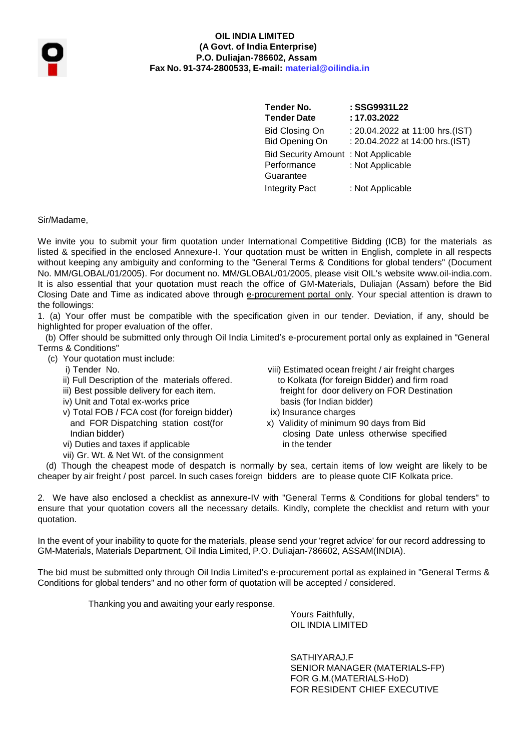

#### **OIL INDIA LIMITED (A Govt. of India Enterprise) P.O. Duliajan-786602, Assam Fax No. 91-374-2800533, E-mail: [material@oilindia.in](mailto:material@oilindia.in)**

**Tender No. Tender Date** Bid Closing On Bid Opening On Bid Security Amount : Not Applicable Performance Guarantee **: SSG9931L22 : 17.03.2022** : 20.04.2022 at 11:00 hrs.(IST) : 20.04.2022 at 14:00 hrs.(IST) : Not Applicable Integrity Pact : Not Applicable

Sir/Madame,

We invite you to submit your firm quotation under International Competitive Bidding (ICB) for the materials as listed & specified in the enclosed Annexure-I. Your quotation must be written in English, complete in all respects without keeping any ambiguity and conforming to the "General Terms & Conditions for global tenders" (Document No. MM/GLOBAL/01/2005). For document no. MM/GLOBAL/01/2005, please visit OIL's website [www.oil-india.com.](http://www.oil-india.com/) It is also essential that your quotation must reach the office of GM-Materials, Duliajan (Assam) before the Bid Closing Date and Time as indicated above through e-procurement portal only. Your special attention is drawn to the followings:

1. (a) Your offer must be compatible with the specification given in our tender. Deviation, if any, should be highlighted for proper evaluation of the offer.

(b) Offer should be submitted only through Oil India Limited's e-procurement portal only as explained in "General Terms & Conditions"

- (c) Your quotation must include:
	- -
	-
	- iv) Unit and Total ex-works price basis (for Indian bidder)
	- v) Total FOB / FCA cost (for foreign bidder) ix) Insurance charges and FOR Dispatching station cost(for x) Validity of minimum 90 days from Bid
	- vi) Duties and taxes if applicable
	- vii) Gr. Wt. & Net Wt. of the consignment
	- i) Tender No. viii) Estimated ocean freight / air freight charges ii) Full Description of the materials offered. to Kolkata (for foreign Bidder) and firm road iii) Best possible delivery for each item. **Finally and the integral of the Constantian** freight for door delivery on FOR Destination
		-
		- Indian bidder)<br>
		Indian bidder) Duties and taxes if applicable and the section of the tender in the tender

(d) Though the cheapest mode of despatch is normally by sea, certain items of low weight are likely to be cheaper by air freight / post parcel. In such cases foreign bidders are to please quote CIF Kolkata price.

2. We have also enclosed a checklist as annexure-IV with "General Terms & Conditions for global tenders" to ensure that your quotation covers all the necessary details. Kindly, complete the checklist and return with your quotation.

In the event of your inability to quote for the materials, please send your 'regret advice' for our record addressing to GM-Materials, Materials Department, Oil India Limited, P.O. Duliajan-786602, ASSAM(INDIA).

The bid must be submitted only through Oil India Limited's e-procurement portal as explained in "General Terms & Conditions for global tenders" and no other form of quotation will be accepted / considered.

Thanking you and awaiting your early response.

Yours Faithfully, OIL INDIA LIMITED

SATHIYARAJ.F SENIOR MANAGER (MATERIALS-FP) FOR G.M.(MATERIALS-HoD) FOR RESIDENT CHIEF EXECUTIVE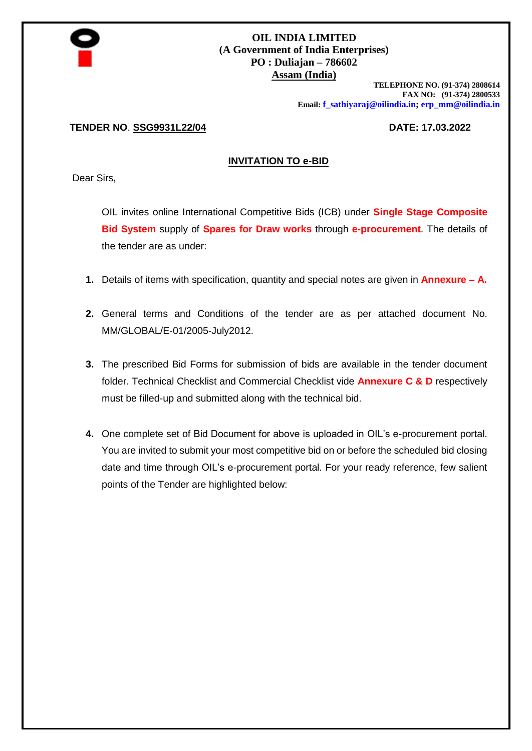

#### **OIL INDIA LIMITED (A Government of India Enterprises) PO : Duliajan – 786602 Assam (India)**

**TELEPHONE NO. (91-374) 2808614 FAX NO: (91-374) 2800533 Email: [f\\_sathiyaraj@oilindia.in;](mailto:f_sathiyaraj@oilindia.in) [erp\\_mm@oilindia.in](mailto:erp_mm@oilindia.in)**

#### **TENDER NO**. **SSG9931L22/04 DATE: 17.03.2022**

#### **INVITATION TO e-BID**

Dear Sirs,

OIL invites online International Competitive Bids (ICB) under **Single Stage Composite Bid System** supply of **Spares for Draw works** through **e-procurement**. The details of the tender are as under:

- **1.** Details of items with specification, quantity and special notes are given in **Annexure – A.**
- **2.** General terms and Conditions of the tender are as per attached document No. MM/GLOBAL/E-01/2005-July2012.
- **3.** The prescribed Bid Forms for submission of bids are available in the tender document folder. Technical Checklist and Commercial Checklist vide **Annexure C & D** respectively must be filled-up and submitted along with the technical bid.
- **4.** One complete set of Bid Document for above is uploaded in OIL's e-procurement portal. You are invited to submit your most competitive bid on or before the scheduled bid closing date and time through OIL's e-procurement portal. For your ready reference, few salient points of the Tender are highlighted below: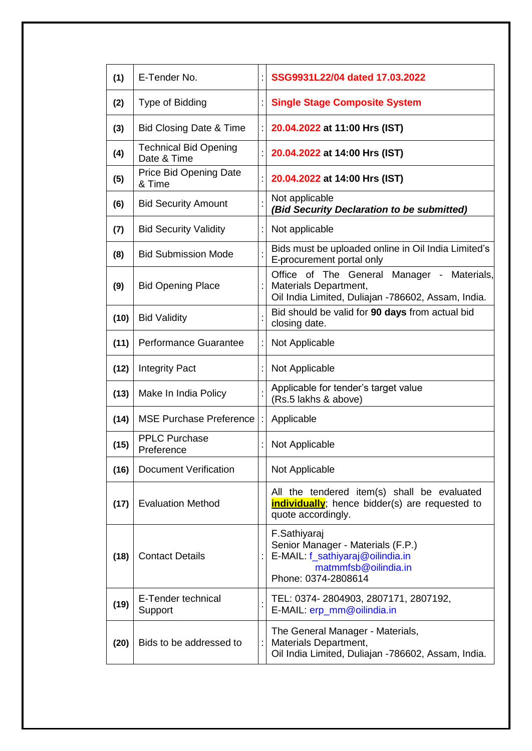| (1)  | E-Tender No.                                |                                                                                                                                      | SSG9931L22/04 dated 17.03.2022                                                                                  |  |  |
|------|---------------------------------------------|--------------------------------------------------------------------------------------------------------------------------------------|-----------------------------------------------------------------------------------------------------------------|--|--|
| (2)  | Type of Bidding                             |                                                                                                                                      | <b>Single Stage Composite System</b>                                                                            |  |  |
| (3)  | <b>Bid Closing Date &amp; Time</b>          |                                                                                                                                      | 20.04.2022 at 11:00 Hrs (IST)                                                                                   |  |  |
| (4)  | <b>Technical Bid Opening</b><br>Date & Time |                                                                                                                                      | 20.04.2022 at 14:00 Hrs (IST)                                                                                   |  |  |
| (5)  | <b>Price Bid Opening Date</b><br>& Time     |                                                                                                                                      | 20.04.2022 at 14:00 Hrs (IST)                                                                                   |  |  |
| (6)  | <b>Bid Security Amount</b>                  |                                                                                                                                      | Not applicable<br>(Bid Security Declaration to be submitted)                                                    |  |  |
| (7)  | <b>Bid Security Validity</b>                |                                                                                                                                      | Not applicable                                                                                                  |  |  |
| (8)  | <b>Bid Submission Mode</b>                  |                                                                                                                                      | Bids must be uploaded online in Oil India Limited's<br>E-procurement portal only                                |  |  |
| (9)  | <b>Bid Opening Place</b>                    | Office of The General Manager - Materials,<br>Materials Department,<br>Oil India Limited, Duliajan -786602, Assam, India.            |                                                                                                                 |  |  |
| (10) | <b>Bid Validity</b>                         |                                                                                                                                      | Bid should be valid for 90 days from actual bid<br>closing date.                                                |  |  |
| (11) | <b>Performance Guarantee</b>                | Not Applicable                                                                                                                       |                                                                                                                 |  |  |
| (12) | <b>Integrity Pact</b>                       | Not Applicable                                                                                                                       |                                                                                                                 |  |  |
| (13) | Make In India Policy                        | Applicable for tender's target value<br>(Rs.5 lakhs & above)                                                                         |                                                                                                                 |  |  |
| (14) | <b>MSE Purchase Preference</b>              |                                                                                                                                      | Applicable                                                                                                      |  |  |
| (15) | <b>PPLC Purchase</b><br>Preference          |                                                                                                                                      | Not Applicable                                                                                                  |  |  |
| (16) | <b>Document Verification</b>                |                                                                                                                                      | Not Applicable                                                                                                  |  |  |
| (17) | <b>Evaluation Method</b>                    | All the tendered item(s) shall be evaluated<br>individually; hence bidder(s) are requested to<br>quote accordingly.                  |                                                                                                                 |  |  |
| (18) | <b>Contact Details</b>                      | F.Sathiyaraj<br>Senior Manager - Materials (F.P.)<br>E-MAIL: f_sathiyaraj@oilindia.in<br>matmmfsb@oilindia.in<br>Phone: 0374-2808614 |                                                                                                                 |  |  |
| (19) | E-Tender technical<br>Support               |                                                                                                                                      | TEL: 0374-2804903, 2807171, 2807192,<br>E-MAIL: erp_mm@oilindia.in                                              |  |  |
| (20) | Bids to be addressed to                     |                                                                                                                                      | The General Manager - Materials,<br>Materials Department,<br>Oil India Limited, Duliajan -786602, Assam, India. |  |  |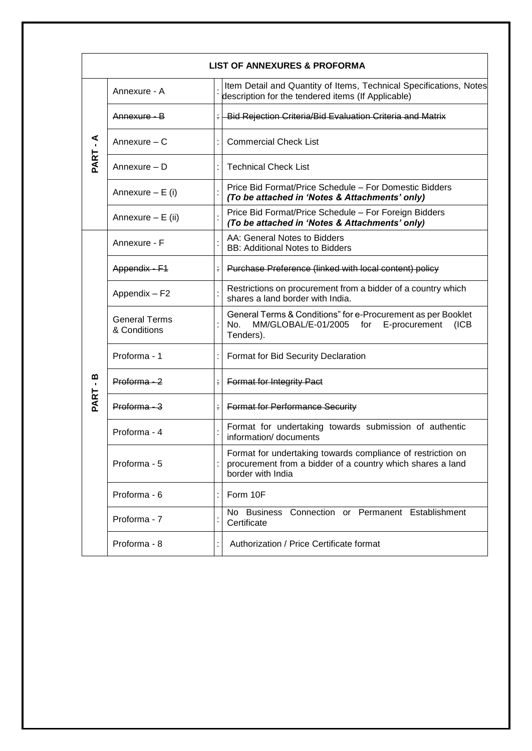|                     | <b>LIST OF ANNEXURES &amp; PROFORMA</b> |               |                                                                                                                                                |  |
|---------------------|-----------------------------------------|---------------|------------------------------------------------------------------------------------------------------------------------------------------------|--|
|                     | Annexure - A                            |               | Item Detail and Quantity of Items, Technical Specifications, Notes<br>description for the tendered items (If Applicable)                       |  |
|                     | <u> Annexure - B</u>                    |               | : Bid Rejection Criteria/Bid Evaluation Criteria and Matrix                                                                                    |  |
|                     | Annexure - C                            |               | <b>Commercial Check List</b>                                                                                                                   |  |
| PART-A              | Annexure - D                            |               | <b>Technical Check List</b>                                                                                                                    |  |
|                     | Annexure $- E (i)$                      |               | Price Bid Format/Price Schedule – For Domestic Bidders<br>(To be attached in 'Notes & Attachments' only)                                       |  |
|                     | Annexure - E (ii)                       |               | Price Bid Format/Price Schedule - For Foreign Bidders<br>(To be attached in 'Notes & Attachments' only)                                        |  |
|                     | Annexure - F                            |               | AA: General Notes to Bidders<br><b>BB: Additional Notes to Bidders</b>                                                                         |  |
|                     | Appendix - F1                           | ÷             | Purchase Preference (linked with local content) policy                                                                                         |  |
|                     | Appendix - F2                           |               | Restrictions on procurement from a bidder of a country which<br>shares a land border with India.                                               |  |
|                     | <b>General Terms</b><br>& Conditions    |               | General Terms & Conditions" for e-Procurement as per Booklet<br>No.<br>MM/GLOBAL/E-01/2005 for<br>E-procurement<br>(ICB)<br>Tenders).          |  |
|                     | Proforma - 1                            |               | Format for Bid Security Declaration                                                                                                            |  |
| m<br>$\blacksquare$ | $Proforma - 2$                          | $\frac{1}{2}$ | <b>Format for Integrity Pact</b>                                                                                                               |  |
| PART                | $Proforma - 3$                          |               | <b>Format for Performance Security</b>                                                                                                         |  |
|                     | Proforma - 4                            |               | Format for undertaking towards submission of authentic<br>information/ documents                                                               |  |
|                     | Proforma - 5                            |               | Format for undertaking towards compliance of restriction on<br>procurement from a bidder of a country which shares a land<br>border with India |  |
|                     | Proforma - 6                            |               | Form 10F                                                                                                                                       |  |
|                     | Proforma - 7                            |               | Connection or Permanent Establishment<br>No Business<br>Certificate                                                                            |  |
|                     | Proforma - 8                            |               | Authorization / Price Certificate format                                                                                                       |  |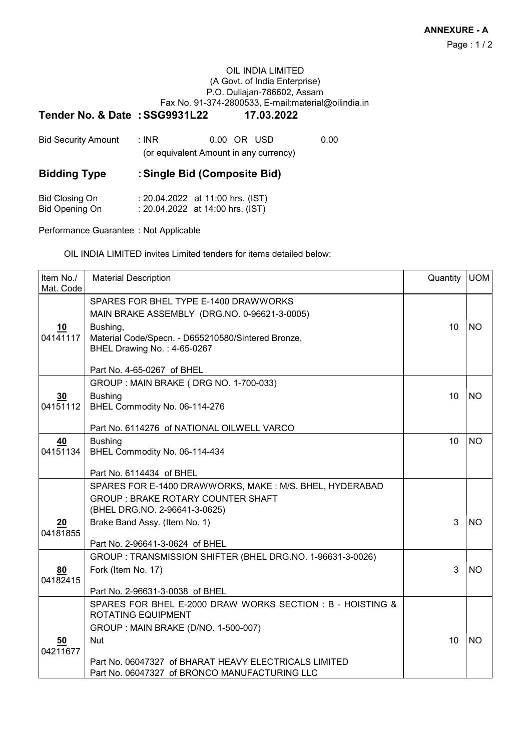#### OIL INDIA LIMITED (A Govt. of India Enterprise) P.O. Duliajan-786602, Assam Fax No. 91-374-2800533, E-mail:material@oilindia.in

#### Tender No. & Date : SSG9931L22 17.03.2022

| <b>Bid Security Amount</b> | ∴ INR ∶ | 0.00 OR USD<br>(or equivalent Amount in any currency) | 0.00 |
|----------------------------|---------|-------------------------------------------------------|------|
| <b>Bidding Type</b>        |         | : Single Bid (Composite Bid)                          |      |
|                            |         |                                                       |      |

| Bid Closing On | : 20.04.2022 at 11:00 hrs. (IST) |
|----------------|----------------------------------|
| Bid Opening On | : 20.04.2022 at 14:00 hrs. (IST) |

Performance Guarantee : Not Applicable

OIL INDIA LIMITED invites Limited tenders for items detailed below:

| Item No./<br>Mat. Code | <b>Material Description</b>                                                                                                                                                                                                                            | Quantity | <b>UOM</b> |
|------------------------|--------------------------------------------------------------------------------------------------------------------------------------------------------------------------------------------------------------------------------------------------------|----------|------------|
| <u>10</u><br>04141117  | SPARES FOR BHEL TYPE E-1400 DRAWWORKS<br>MAIN BRAKE ASSEMBLY (DRG.NO. 0-96621-3-0005)<br>Bushing,<br>Material Code/Specn. - D655210580/Sintered Bronze,<br>BHEL Drawing No.: 4-65-0267<br>Part No. 4-65-0267 of BHEL                                   | 10       | <b>NO</b>  |
| 30<br>04151112         | GROUP: MAIN BRAKE (DRG NO. 1-700-033)<br><b>Bushing</b><br>BHEL Commodity No. 06-114-276<br>Part No. 6114276 of NATIONAL OILWELL VARCO                                                                                                                 | 10       | <b>NO</b>  |
| 40<br>04151134         | <b>Bushing</b><br>BHEL Commodity No. 06-114-434<br>Part No. 6114434 of BHEL                                                                                                                                                                            | 10       | <b>NO</b>  |
| 20<br>04181855         | SPARES FOR E-1400 DRAWWORKS, MAKE: M/S. BHEL, HYDERABAD<br><b>GROUP: BRAKE ROTARY COUNTER SHAFT</b><br>(BHEL DRG.NO. 2-96641-3-0625)<br>Brake Band Assy. (Item No. 1)<br>Part No. 2-96641-3-0624 of BHEL                                               | 3        | <b>NO</b>  |
| 80<br>04182415         | GROUP : TRANSMISSION SHIFTER (BHEL DRG.NO. 1-96631-3-0026)<br>Fork (Item No. 17)<br>Part No. 2-96631-3-0038 of BHEL                                                                                                                                    | 3        | <b>NO</b>  |
| <u>50</u><br>04211677  | SPARES FOR BHEL E-2000 DRAW WORKS SECTION : B - HOISTING &<br><b>ROTATING EQUIPMENT</b><br>GROUP: MAIN BRAKE (D/NO. 1-500-007)<br><b>Nut</b><br>Part No. 06047327 of BHARAT HEAVY ELECTRICALS LIMITED<br>Part No. 06047327 of BRONCO MANUFACTURING LLC | 10       | <b>NO</b>  |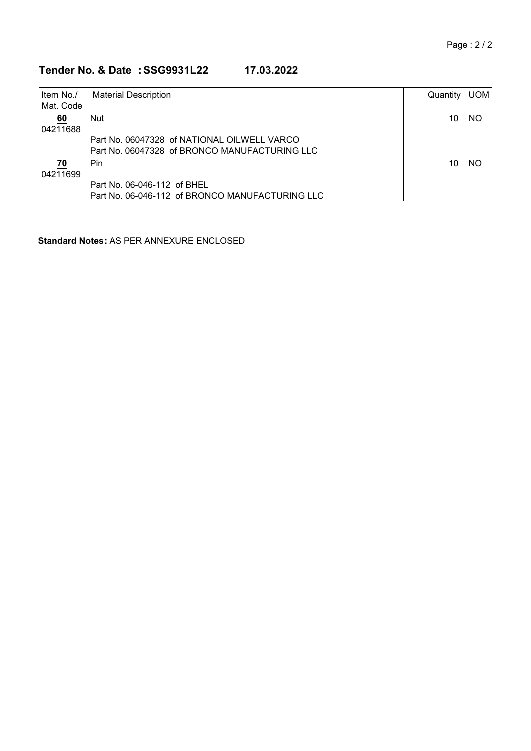# Tender No. & Date : SSG9931L22 17.03.2022

| Item No./     | <b>Material Description</b>                     | Quantity | <b>UOM</b> |
|---------------|-------------------------------------------------|----------|------------|
| l Mat. Code l |                                                 |          |            |
| <u>60</u>     | <b>Nut</b>                                      | 10       | <b>NO</b>  |
| 04211688      |                                                 |          |            |
|               | Part No. 06047328 of NATIONAL OILWELL VARCO     |          |            |
|               | Part No. 06047328 of BRONCO MANUFACTURING LLC   |          |            |
| 70            | Pin.                                            | 10       | <b>NO</b>  |
| 04211699      |                                                 |          |            |
|               | Part No. 06-046-112 of BHEL                     |          |            |
|               | Part No. 06-046-112 of BRONCO MANUFACTURING LLC |          |            |

Standard Notes : AS PER ANNEXURE ENCLOSED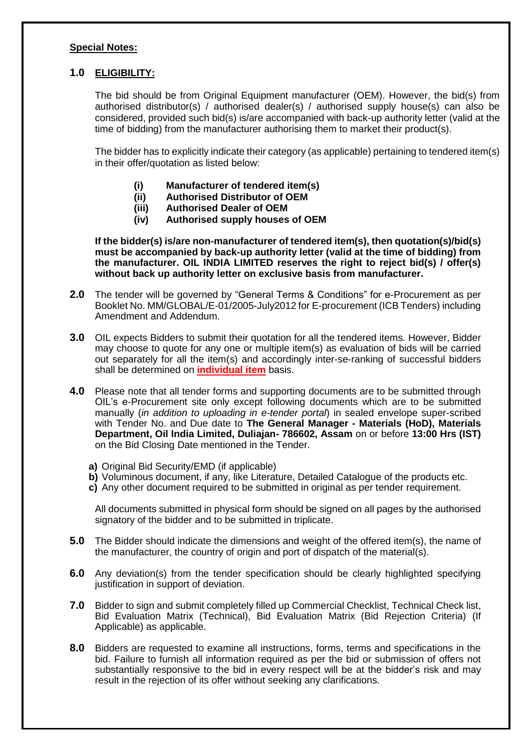#### **Special Notes:**

#### **1.0 ELIGIBILITY:**

The bid should be from Original Equipment manufacturer (OEM). However, the bid(s) from authorised distributor(s) / authorised dealer(s) / authorised supply house(s) can also be considered, provided such bid(s) is/are accompanied with back-up authority letter (valid at the time of bidding) from the manufacturer authorising them to market their product(s).

The bidder has to explicitly indicate their category (as applicable) pertaining to tendered item(s) in their offer/quotation as listed below:

- **(i) Manufacturer of tendered item(s)**
- **(ii) Authorised Distributor of OEM**
- **(iii) Authorised Dealer of OEM**
- **(iv) Authorised supply houses of OEM**

**If the bidder(s) is/are non-manufacturer of tendered item(s), then quotation(s)/bid(s) must be accompanied by back-up authority letter (valid at the time of bidding) from the manufacturer. OIL INDIA LIMITED reserves the right to reject bid(s) / offer(s) without back up authority letter on exclusive basis from manufacturer.**

- **2.0** The tender will be governed by "General Terms & Conditions" for e-Procurement as per Booklet No. MM/GLOBAL/E-01/2005-July2012 for E-procurement (ICB Tenders) including Amendment and Addendum.
- **3.0** OIL expects Bidders to submit their quotation for all the tendered items. However, Bidder may choose to quote for any one or multiple item(s) as evaluation of bids will be carried out separately for all the item(s) and accordingly inter-se-ranking of successful bidders shall be determined on **individual item** basis.
- **4.0** Please note that all tender forms and supporting documents are to be submitted through OIL's e-Procurement site only except following documents which are to be submitted manually (*in addition to uploading in e-tender portal*) in sealed envelope super-scribed with Tender No. and Due date to **The General Manager - Materials (HoD), Materials Department, Oil India Limited, Duliajan- 786602, Assam** on or before **13:00 Hrs (IST)** on the Bid Closing Date mentioned in the Tender.
	- **a)** Original Bid Security/EMD (if applicable)
	- **b)** Voluminous document, if any, like Literature, Detailed Catalogue of the products etc.
	- **c)** Any other document required to be submitted in original as per tender requirement.

All documents submitted in physical form should be signed on all pages by the authorised signatory of the bidder and to be submitted in triplicate.

- **5.0** The Bidder should indicate the dimensions and weight of the offered item(s), the name of the manufacturer, the country of origin and port of dispatch of the material(s).
- **6.0** Any deviation(s) from the tender specification should be clearly highlighted specifying justification in support of deviation.
- **7.0** Bidder to sign and submit completely filled up Commercial Checklist, Technical Check list, Bid Evaluation Matrix (Technical), Bid Evaluation Matrix (Bid Rejection Criteria) (If Applicable) as applicable.
- **8.0** Bidders are requested to examine all instructions, forms, terms and specifications in the bid. Failure to furnish all information required as per the bid or submission of offers not substantially responsive to the bid in every respect will be at the bidder's risk and may result in the rejection of its offer without seeking any clarifications.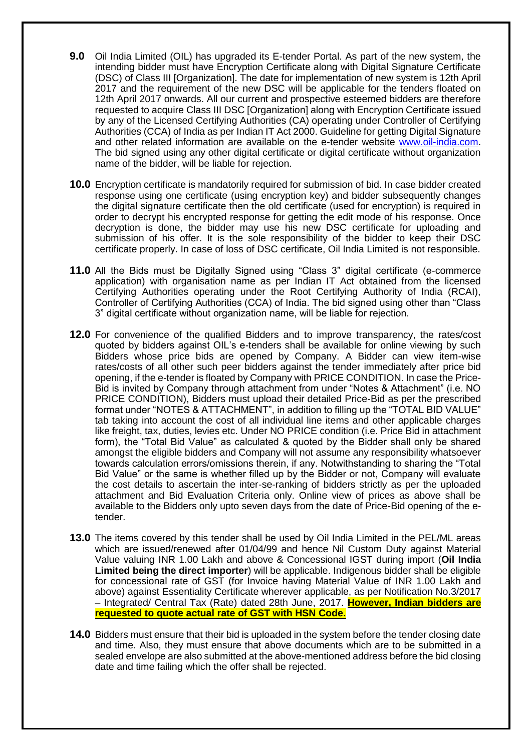- **9.0** Oil India Limited (OIL) has upgraded its E-tender Portal. As part of the new system, the intending bidder must have Encryption Certificate along with Digital Signature Certificate (DSC) of Class III [Organization]. The date for implementation of new system is 12th April 2017 and the requirement of the new DSC will be applicable for the tenders floated on 12th April 2017 onwards. All our current and prospective esteemed bidders are therefore requested to acquire Class III DSC [Organization] along with Encryption Certificate issued by any of the Licensed Certifying Authorities (CA) operating under Controller of Certifying Authorities (CCA) of India as per Indian IT Act 2000. Guideline for getting Digital Signature and other related information are available on the e-tender website [www.oil-india.com.](http://www.oil-india.com/) The bid signed using any other digital certificate or digital certificate without organization name of the bidder, will be liable for rejection.
- **10.0** Encryption certificate is mandatorily required for submission of bid. In case bidder created response using one certificate (using encryption key) and bidder subsequently changes the digital signature certificate then the old certificate (used for encryption) is required in order to decrypt his encrypted response for getting the edit mode of his response. Once decryption is done, the bidder may use his new DSC certificate for uploading and submission of his offer. It is the sole responsibility of the bidder to keep their DSC certificate properly. In case of loss of DSC certificate, Oil India Limited is not responsible.
- **11.0** All the Bids must be Digitally Signed using "Class 3" digital certificate (e-commerce application) with organisation name as per Indian IT Act obtained from the licensed Certifying Authorities operating under the Root Certifying Authority of India (RCAI), Controller of Certifying Authorities (CCA) of India. The bid signed using other than "Class 3" digital certificate without organization name, will be liable for rejection.
- **12.0** For convenience of the qualified Bidders and to improve transparency, the rates/cost quoted by bidders against OIL's e-tenders shall be available for online viewing by such Bidders whose price bids are opened by Company. A Bidder can view item-wise rates/costs of all other such peer bidders against the tender immediately after price bid opening, if the e-tender is floated by Company with PRICE CONDITION. In case the Price-Bid is invited by Company through attachment from under "Notes & Attachment" (i.e. NO PRICE CONDITION), Bidders must upload their detailed Price-Bid as per the prescribed format under "NOTES & ATTACHMENT", in addition to filling up the "TOTAL BID VALUE" tab taking into account the cost of all individual line items and other applicable charges like freight, tax, duties, levies etc. Under NO PRICE condition (i.e. Price Bid in attachment form), the "Total Bid Value" as calculated & quoted by the Bidder shall only be shared amongst the eligible bidders and Company will not assume any responsibility whatsoever towards calculation errors/omissions therein, if any. Notwithstanding to sharing the "Total Bid Value" or the same is whether filled up by the Bidder or not, Company will evaluate the cost details to ascertain the inter-se-ranking of bidders strictly as per the uploaded attachment and Bid Evaluation Criteria only. Online view of prices as above shall be available to the Bidders only upto seven days from the date of Price-Bid opening of the etender.
- **13.0** The items covered by this tender shall be used by Oil India Limited in the PEL/ML areas which are issued/renewed after 01/04/99 and hence Nil Custom Duty against Material Value valuing INR 1.00 Lakh and above & Concessional IGST during import (**Oil India Limited being the direct importer**) will be applicable. Indigenous bidder shall be eligible for concessional rate of GST (for Invoice having Material Value of INR 1.00 Lakh and above) against Essentiality Certificate wherever applicable, as per Notification No.3/2017 – Integrated/ Central Tax (Rate) dated 28th June, 2017. **However, Indian bidders are requested to quote actual rate of GST with HSN Code.**
- **14.0** Bidders must ensure that their bid is uploaded in the system before the tender closing date and time. Also, they must ensure that above documents which are to be submitted in a sealed envelope are also submitted at the above-mentioned address before the bid closing date and time failing which the offer shall be rejected.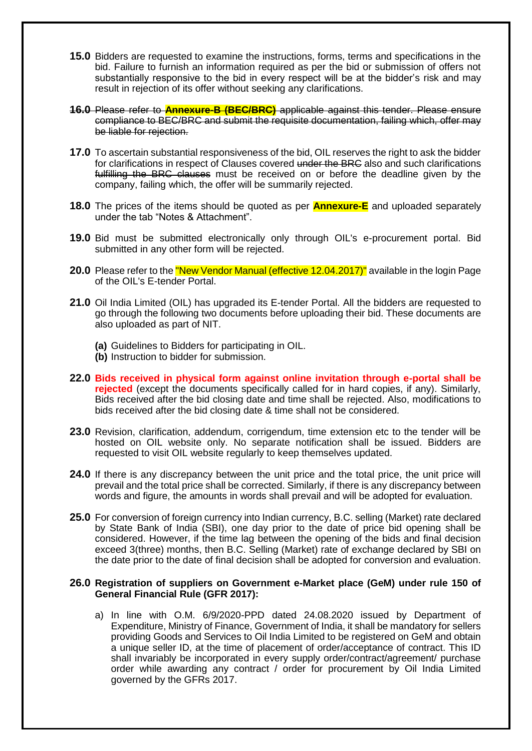- **15.0** Bidders are requested to examine the instructions, forms, terms and specifications in the bid. Failure to furnish an information required as per the bid or submission of offers not substantially responsive to the bid in every respect will be at the bidder's risk and may result in rejection of its offer without seeking any clarifications.
- **16.0** Please refer to **Annexure-B (BEC/BRC)** applicable against this tender. Please ensure compliance to BEC/BRC and submit the requisite documentation, failing which, offer may be liable for rejection.
- **17.0** To ascertain substantial responsiveness of the bid. OIL reserves the right to ask the bidder for clarifications in respect of Clauses covered under the BRG also and such clarifications fulfilling the BRC clauses must be received on or before the deadline given by the company, failing which, the offer will be summarily rejected.
- **18.0** The prices of the items should be quoted as per **Annexure-E** and uploaded separately under the tab "Notes & Attachment".
- **19.0** Bid must be submitted electronically only through OIL's e-procurement portal. Bid submitted in any other form will be rejected.
- **20.0** Please refer to the **"New Vendor Manual (effective 12.04.2017)"** available in the login Page of the OIL's E-tender Portal.
- **21.0** Oil India Limited (OIL) has upgraded its E-tender Portal. All the bidders are requested to go through the following two documents before uploading their bid. These documents are also uploaded as part of NIT.
	- **(a)** Guidelines to Bidders for participating in OIL.
	- **(b)** Instruction to bidder for submission.
- **22.0 Bids received in physical form against online invitation through e-portal shall be rejected** (except the documents specifically called for in hard copies, if any). Similarly, Bids received after the bid closing date and time shall be rejected. Also, modifications to bids received after the bid closing date & time shall not be considered.
- **23.0** Revision, clarification, addendum, corrigendum, time extension etc to the tender will be hosted on OIL website only. No separate notification shall be issued. Bidders are requested to visit OIL website regularly to keep themselves updated.
- **24.0** If there is any discrepancy between the unit price and the total price, the unit price will prevail and the total price shall be corrected. Similarly, if there is any discrepancy between words and figure, the amounts in words shall prevail and will be adopted for evaluation.
- **25.0** For conversion of foreign currency into Indian currency, B.C. selling (Market) rate declared by State Bank of India (SBI), one day prior to the date of price bid opening shall be considered. However, if the time lag between the opening of the bids and final decision exceed 3(three) months, then B.C. Selling (Market) rate of exchange declared by SBI on the date prior to the date of final decision shall be adopted for conversion and evaluation.

#### **26.0 Registration of suppliers on Government e-Market place (GeM) under rule 150 of General Financial Rule (GFR 2017):**

a) In line with O.M. 6/9/2020-PPD dated 24.08.2020 issued by Department of Expenditure, Ministry of Finance, Government of India, it shall be mandatory for sellers providing Goods and Services to Oil India Limited to be registered on GeM and obtain a unique seller ID, at the time of placement of order/acceptance of contract. This ID shall invariably be incorporated in every supply order/contract/agreement/ purchase order while awarding any contract / order for procurement by Oil India Limited governed by the GFRs 2017.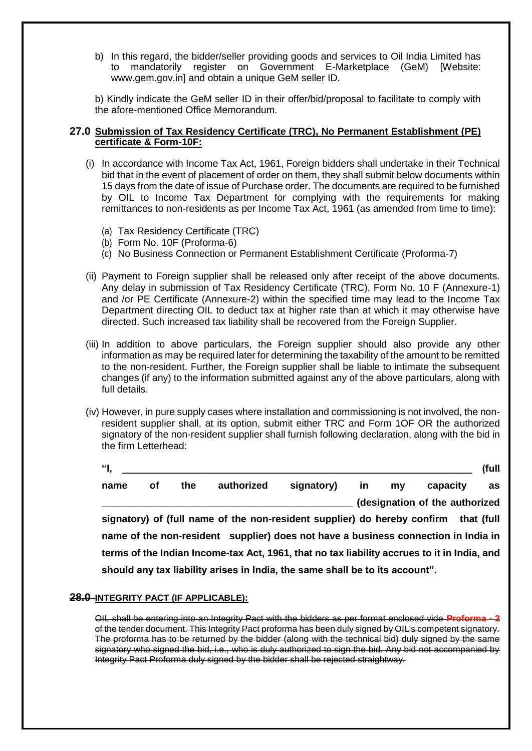b) In this regard, the bidder/seller providing goods and services to Oil India Limited has to mandatorily register on Government E-Marketplace (GeM) [Website: www.gem.gov.in] and obtain a unique GeM seller ID.

b) Kindly indicate the GeM seller ID in their offer/bid/proposal to facilitate to comply with the afore-mentioned Office Memorandum.

#### **27.0 Submission of Tax Residency Certificate (TRC), No Permanent Establishment (PE) certificate & Form-10F:**

- (i) In accordance with Income Tax Act, 1961, Foreign bidders shall undertake in their Technical bid that in the event of placement of order on them, they shall submit below documents within 15 days from the date of issue of Purchase order. The documents are required to be furnished by OIL to Income Tax Department for complying with the requirements for making remittances to non-residents as per Income Tax Act, 1961 (as amended from time to time):
	- (a) Tax Residency Certificate (TRC)
	- (b) Form No. 10F (Proforma-6)
	- (c) No Business Connection or Permanent Establishment Certificate (Proforma-7)
- (ii) Payment to Foreign supplier shall be released only after receipt of the above documents. Any delay in submission of Tax Residency Certificate (TRC), Form No. 10 F (Annexure-1) and /or PE Certificate (Annexure-2) within the specified time may lead to the Income Tax Department directing OIL to deduct tax at higher rate than at which it may otherwise have directed. Such increased tax liability shall be recovered from the Foreign Supplier.
- (iii) In addition to above particulars, the Foreign supplier should also provide any other information as may be required later for determining the taxability of the amount to be remitted to the non-resident. Further, the Foreign supplier shall be liable to intimate the subsequent changes (if any) to the information submitted against any of the above particulars, along with full details.
- (iv) However, in pure supply cases where installation and commissioning is not involved, the nonresident supplier shall, at its option, submit either TRC and Form 1OF OR the authorized signatory of the non-resident supplier shall furnish following declaration, along with the bid in the firm Letterhead:

| "І,  |    |     |                                                                                             |            |    |    |                                | (full      |
|------|----|-----|---------------------------------------------------------------------------------------------|------------|----|----|--------------------------------|------------|
| name | Οf | the | authorized                                                                                  | signatory) | in | my | capacity                       | as         |
|      |    |     |                                                                                             |            |    |    | (designation of the authorized |            |
|      |    |     | signatory) of (full name of the non-resident supplier) do hereby confirm                    |            |    |    |                                | that (full |
|      |    |     | name of the non-resident supplier) does not have a business connection in India in          |            |    |    |                                |            |
|      |    |     | terms of the Indian Income-tax Act, 1961, that no tax liability accrues to it in India, and |            |    |    |                                |            |
|      |    |     | should any tax liability arises in India, the same shall be to its account".                |            |    |    |                                |            |

#### **28.0 INTEGRITY PACT (IF APPLICABLE):**

OIL shall be entering into an Integrity Pact with the bidders as per format enclosed vide **Proforma - 2** of the tender document. This Integrity Pact proforma has been duly signed by OIL's competent signatory. The proforma has to be returned by the bidder (along with the technical bid) duly signed by the same signatory who signed the bid, i.e., who is duly authorized to sign the bid. Any bid not accompanied by Integrity Pact Proforma duly signed by the bidder shall be rejected straightway.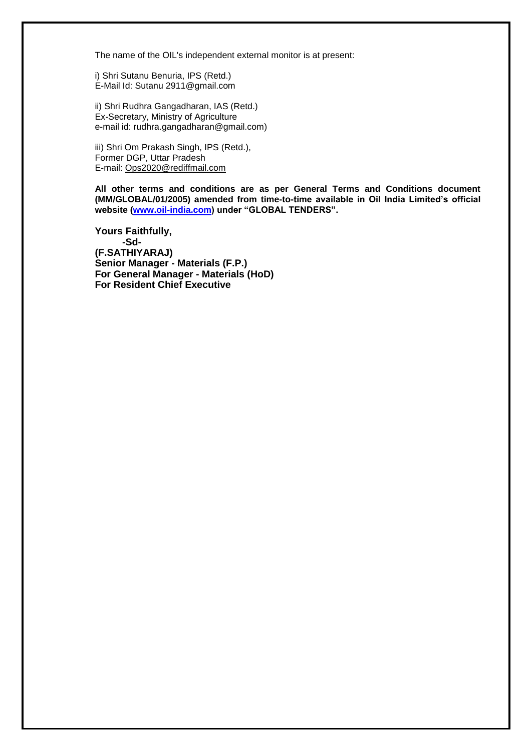The name of the OIL's independent external monitor is at present:

i) Shri Sutanu Benuria, IPS (Retd.) E-Mail Id: Sutanu 2911@gmail.com

ii) Shri Rudhra Gangadharan, IAS (Retd.) Ex-Secretary, Ministry of Agriculture e-mail id: rudhra.gangadharan@gmail.com)

iii) Shri Om Prakash Singh, IPS (Retd.), Former DGP, Uttar Pradesh E-mail: [Ops2020@rediffmail.com](mailto:Ops2020@rediffmail.com)

**All other terms and conditions are as per General Terms and Conditions document (MM/GLOBAL/01/2005) amended from time-to-time available in Oil India Limited's official website [\(www.oil-india.com\)](http://www.oil-india.com/) under "GLOBAL TENDERS".**

**Yours Faithfully, -Sd- (F.SATHIYARAJ) Senior Manager - Materials (F.P.) For General Manager - Materials (HoD) For Resident Chief Executive**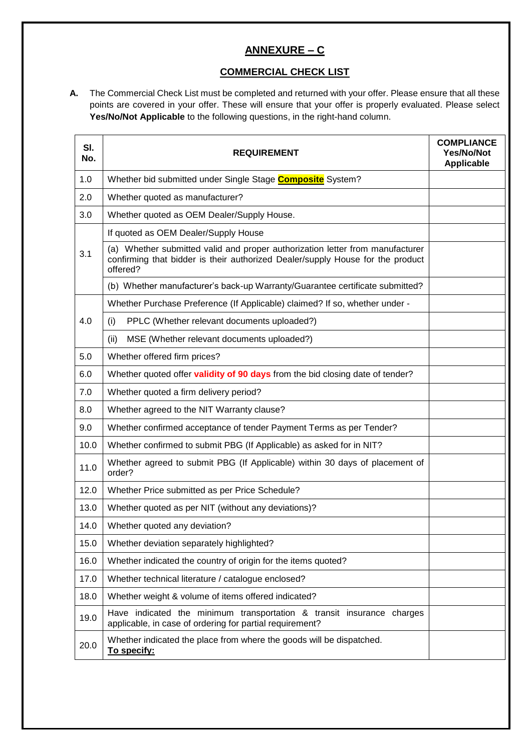# **ANNEXURE – C**

### **COMMERCIAL CHECK LIST**

**A.** The Commercial Check List must be completed and returned with your offer. Please ensure that all these points are covered in your offer. These will ensure that your offer is properly evaluated. Please select **Yes/No/Not Applicable** to the following questions, in the right-hand column.

| SI.<br>No. | <b>REQUIREMENT</b>                                                                                                                                                          | <b>COMPLIANCE</b><br><b>Yes/No/Not</b><br><b>Applicable</b> |  |
|------------|-----------------------------------------------------------------------------------------------------------------------------------------------------------------------------|-------------------------------------------------------------|--|
| 1.0        | Whether bid submitted under Single Stage <b>Composite</b> System?                                                                                                           |                                                             |  |
| 2.0        | Whether quoted as manufacturer?                                                                                                                                             |                                                             |  |
| 3.0        | Whether quoted as OEM Dealer/Supply House.                                                                                                                                  |                                                             |  |
|            | If quoted as OEM Dealer/Supply House                                                                                                                                        |                                                             |  |
| 3.1        | (a) Whether submitted valid and proper authorization letter from manufacturer<br>confirming that bidder is their authorized Dealer/supply House for the product<br>offered? |                                                             |  |
|            | (b) Whether manufacturer's back-up Warranty/Guarantee certificate submitted?                                                                                                |                                                             |  |
|            | Whether Purchase Preference (If Applicable) claimed? If so, whether under -                                                                                                 |                                                             |  |
| 4.0        | PPLC (Whether relevant documents uploaded?)<br>(i)                                                                                                                          |                                                             |  |
|            | (ii)<br>MSE (Whether relevant documents uploaded?)                                                                                                                          |                                                             |  |
| 5.0        | Whether offered firm prices?                                                                                                                                                |                                                             |  |
| 6.0        | Whether quoted offer validity of 90 days from the bid closing date of tender?                                                                                               |                                                             |  |
| 7.0        | Whether quoted a firm delivery period?                                                                                                                                      |                                                             |  |
| 8.0        | Whether agreed to the NIT Warranty clause?                                                                                                                                  |                                                             |  |
| 9.0        | Whether confirmed acceptance of tender Payment Terms as per Tender?                                                                                                         |                                                             |  |
| 10.0       | Whether confirmed to submit PBG (If Applicable) as asked for in NIT?                                                                                                        |                                                             |  |
| 11.0       | Whether agreed to submit PBG (If Applicable) within 30 days of placement of<br>order?                                                                                       |                                                             |  |
| 12.0       | Whether Price submitted as per Price Schedule?                                                                                                                              |                                                             |  |
| 13.0       | Whether quoted as per NIT (without any deviations)?                                                                                                                         |                                                             |  |
| 14.0       | Whether quoted any deviation?                                                                                                                                               |                                                             |  |
| 15.0       | Whether deviation separately highlighted?                                                                                                                                   |                                                             |  |
| 16.0       | Whether indicated the country of origin for the items quoted?                                                                                                               |                                                             |  |
| 17.0       | Whether technical literature / catalogue enclosed?                                                                                                                          |                                                             |  |
| 18.0       | Whether weight & volume of items offered indicated?                                                                                                                         |                                                             |  |
| 19.0       | Have indicated the minimum transportation & transit insurance charges<br>applicable, in case of ordering for partial requirement?                                           |                                                             |  |
| 20.0       | Whether indicated the place from where the goods will be dispatched.<br>To specify:                                                                                         |                                                             |  |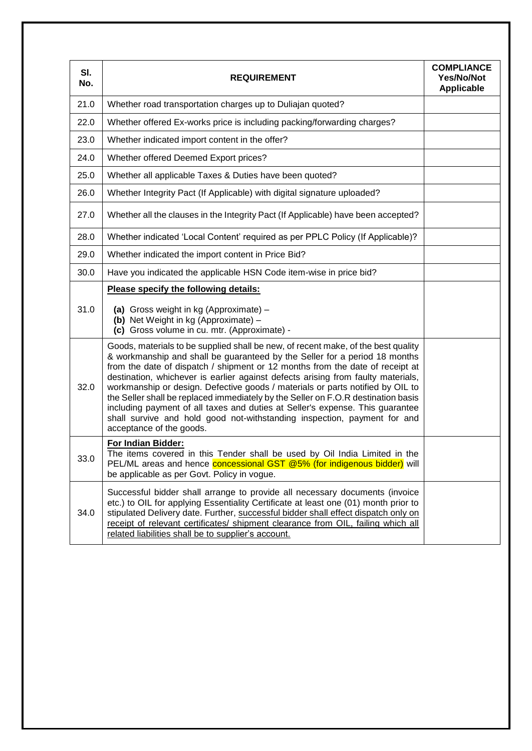| SI.<br>No. | <b>REQUIREMENT</b>                                                                                                                                                                                                                                                                                                                                                                                                                                                                                                                                                                                                                                                                                   | <b>COMPLIANCE</b><br><b>Yes/No/Not</b><br><b>Applicable</b> |
|------------|------------------------------------------------------------------------------------------------------------------------------------------------------------------------------------------------------------------------------------------------------------------------------------------------------------------------------------------------------------------------------------------------------------------------------------------------------------------------------------------------------------------------------------------------------------------------------------------------------------------------------------------------------------------------------------------------------|-------------------------------------------------------------|
| 21.0       | Whether road transportation charges up to Duliajan quoted?                                                                                                                                                                                                                                                                                                                                                                                                                                                                                                                                                                                                                                           |                                                             |
| 22.0       | Whether offered Ex-works price is including packing/forwarding charges?                                                                                                                                                                                                                                                                                                                                                                                                                                                                                                                                                                                                                              |                                                             |
| 23.0       | Whether indicated import content in the offer?                                                                                                                                                                                                                                                                                                                                                                                                                                                                                                                                                                                                                                                       |                                                             |
| 24.0       | Whether offered Deemed Export prices?                                                                                                                                                                                                                                                                                                                                                                                                                                                                                                                                                                                                                                                                |                                                             |
| 25.0       | Whether all applicable Taxes & Duties have been quoted?                                                                                                                                                                                                                                                                                                                                                                                                                                                                                                                                                                                                                                              |                                                             |
| 26.0       | Whether Integrity Pact (If Applicable) with digital signature uploaded?                                                                                                                                                                                                                                                                                                                                                                                                                                                                                                                                                                                                                              |                                                             |
| 27.0       | Whether all the clauses in the Integrity Pact (If Applicable) have been accepted?                                                                                                                                                                                                                                                                                                                                                                                                                                                                                                                                                                                                                    |                                                             |
| 28.0       | Whether indicated 'Local Content' required as per PPLC Policy (If Applicable)?                                                                                                                                                                                                                                                                                                                                                                                                                                                                                                                                                                                                                       |                                                             |
| 29.0       | Whether indicated the import content in Price Bid?                                                                                                                                                                                                                                                                                                                                                                                                                                                                                                                                                                                                                                                   |                                                             |
| 30.0       | Have you indicated the applicable HSN Code item-wise in price bid?                                                                                                                                                                                                                                                                                                                                                                                                                                                                                                                                                                                                                                   |                                                             |
| 31.0       | Please specify the following details:<br>(a) Gross weight in kg (Approximate) -<br>(b) Net Weight in kg (Approximate) -<br>(c) Gross volume in cu. mtr. (Approximate) -                                                                                                                                                                                                                                                                                                                                                                                                                                                                                                                              |                                                             |
| 32.0       | Goods, materials to be supplied shall be new, of recent make, of the best quality<br>& workmanship and shall be guaranteed by the Seller for a period 18 months<br>from the date of dispatch / shipment or 12 months from the date of receipt at<br>destination, whichever is earlier against defects arising from faulty materials,<br>workmanship or design. Defective goods / materials or parts notified by OIL to<br>the Seller shall be replaced immediately by the Seller on F.O.R destination basis<br>including payment of all taxes and duties at Seller's expense. This guarantee<br>shall survive and hold good not-withstanding inspection, payment for and<br>acceptance of the goods. |                                                             |
| 33.0       | For Indian Bidder:<br>The items covered in this Tender shall be used by Oil India Limited in the<br>PEL/ML areas and hence <b>concessional GST @5% (for indigenous bidder)</b> will<br>be applicable as per Govt. Policy in vogue.                                                                                                                                                                                                                                                                                                                                                                                                                                                                   |                                                             |
| 34.0       | Successful bidder shall arrange to provide all necessary documents (invoice<br>etc.) to OIL for applying Essentiality Certificate at least one (01) month prior to<br>stipulated Delivery date. Further, successful bidder shall effect dispatch only on<br>receipt of relevant certificates/ shipment clearance from OIL, failing which all<br>related liabilities shall be to supplier's account.                                                                                                                                                                                                                                                                                                  |                                                             |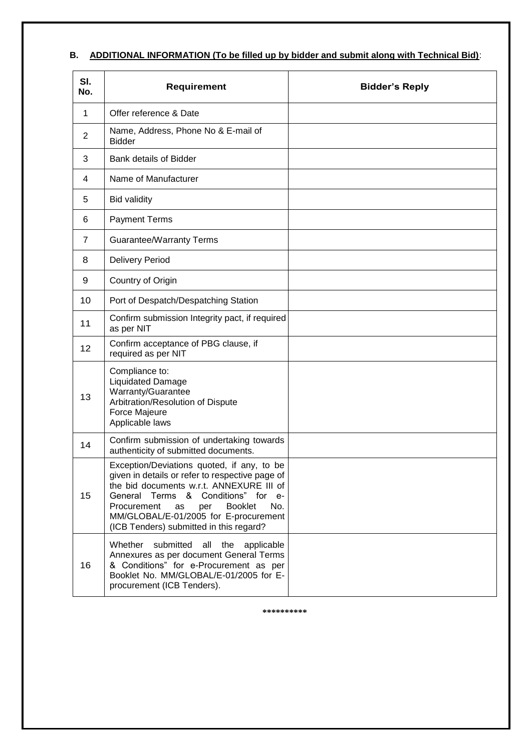# **B. ADDITIONAL INFORMATION (To be filled up by bidder and submit along with Technical Bid)**:

| SI.<br>No. | Requirement                                                                                                                                                                                                                                                                                                              | <b>Bidder's Reply</b> |
|------------|--------------------------------------------------------------------------------------------------------------------------------------------------------------------------------------------------------------------------------------------------------------------------------------------------------------------------|-----------------------|
| 1          | Offer reference & Date                                                                                                                                                                                                                                                                                                   |                       |
| 2          | Name, Address, Phone No & E-mail of<br><b>Bidder</b>                                                                                                                                                                                                                                                                     |                       |
| 3          | <b>Bank details of Bidder</b>                                                                                                                                                                                                                                                                                            |                       |
| 4          | Name of Manufacturer                                                                                                                                                                                                                                                                                                     |                       |
| 5          | <b>Bid validity</b>                                                                                                                                                                                                                                                                                                      |                       |
| 6          | <b>Payment Terms</b>                                                                                                                                                                                                                                                                                                     |                       |
| 7          | <b>Guarantee/Warranty Terms</b>                                                                                                                                                                                                                                                                                          |                       |
| 8          | <b>Delivery Period</b>                                                                                                                                                                                                                                                                                                   |                       |
| 9          | Country of Origin                                                                                                                                                                                                                                                                                                        |                       |
| 10         | Port of Despatch/Despatching Station                                                                                                                                                                                                                                                                                     |                       |
| 11         | Confirm submission Integrity pact, if required<br>as per NIT                                                                                                                                                                                                                                                             |                       |
| 12         | Confirm acceptance of PBG clause, if<br>required as per NIT                                                                                                                                                                                                                                                              |                       |
| 13         | Compliance to:<br><b>Liquidated Damage</b><br>Warranty/Guarantee<br>Arbitration/Resolution of Dispute<br>Force Majeure<br>Applicable laws                                                                                                                                                                                |                       |
| 14         | Confirm submission of undertaking towards<br>authenticity of submitted documents.                                                                                                                                                                                                                                        |                       |
| 15         | Exception/Deviations quoted, if any, to be<br>given in details or refer to respective page of<br>the bid documents w.r.t. ANNEXURE III of<br>General Terms & Conditions" for e-<br><b>Booklet</b><br>No.<br>Procurement<br>per<br>as<br>MM/GLOBAL/E-01/2005 for E-procurement<br>(ICB Tenders) submitted in this regard? |                       |
| 16         | Whether<br>submitted<br>all<br>the<br>applicable<br>Annexures as per document General Terms<br>& Conditions" for e-Procurement as per<br>Booklet No. MM/GLOBAL/E-01/2005 for E-<br>procurement (ICB Tenders).                                                                                                            |                       |

**\*\*\*\*\*\*\*\*\*\***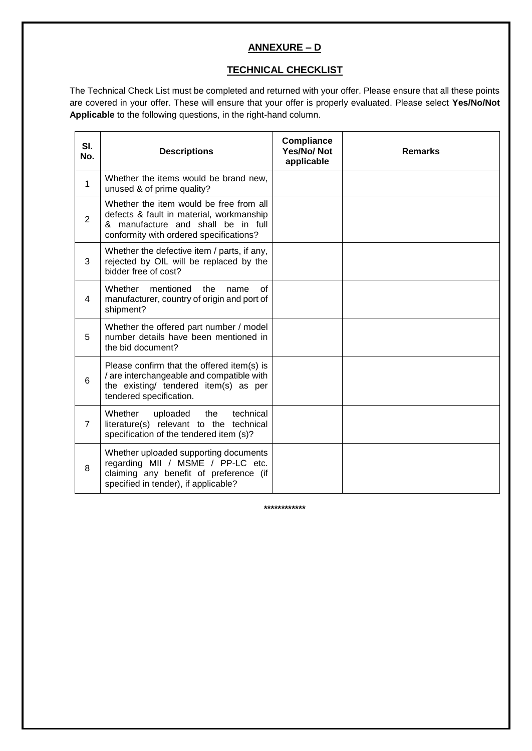# **ANNEXURE – D**

#### **TECHNICAL CHECKLIST**

The Technical Check List must be completed and returned with your offer. Please ensure that all these points are covered in your offer. These will ensure that your offer is properly evaluated. Please select **Yes/No/Not Applicable** to the following questions, in the right-hand column.

| SI.<br>No.     | <b>Descriptions</b>                                                                                                                                                  | Compliance<br><b>Yes/No/Not</b><br>applicable | <b>Remarks</b> |
|----------------|----------------------------------------------------------------------------------------------------------------------------------------------------------------------|-----------------------------------------------|----------------|
| $\mathbf{1}$   | Whether the items would be brand new,<br>unused & of prime quality?                                                                                                  |                                               |                |
| $\overline{2}$ | Whether the item would be free from all<br>defects & fault in material, workmanship<br>& manufacture and shall be in full<br>conformity with ordered specifications? |                                               |                |
| 3              | Whether the defective item / parts, if any,<br>rejected by OIL will be replaced by the<br>bidder free of cost?                                                       |                                               |                |
| 4              | mentioned<br>Whether<br>the<br>οf<br>name<br>manufacturer, country of origin and port of<br>shipment?                                                                |                                               |                |
| 5              | Whether the offered part number / model<br>number details have been mentioned in<br>the bid document?                                                                |                                               |                |
| 6              | Please confirm that the offered item(s) is<br>/ are interchangeable and compatible with<br>the existing/ tendered item(s) as per<br>tendered specification.          |                                               |                |
| $\overline{7}$ | Whether<br>technical<br>uploaded<br>the<br>literature(s) relevant to the technical<br>specification of the tendered item (s)?                                        |                                               |                |
| 8              | Whether uploaded supporting documents<br>regarding MII / MSME / PP-LC etc.<br>claiming any benefit of preference (if<br>specified in tender), if applicable?         |                                               |                |

**\*\*\*\*\*\*\*\*\*\*\*\***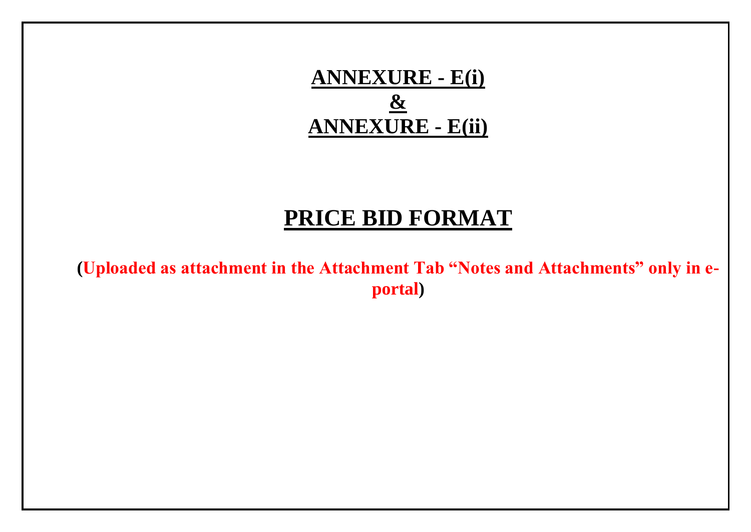

# **PRICE BID FORMAT**

**(Uploaded as attachment in the Attachment Tab "Notes and Attachments" only in eportal)**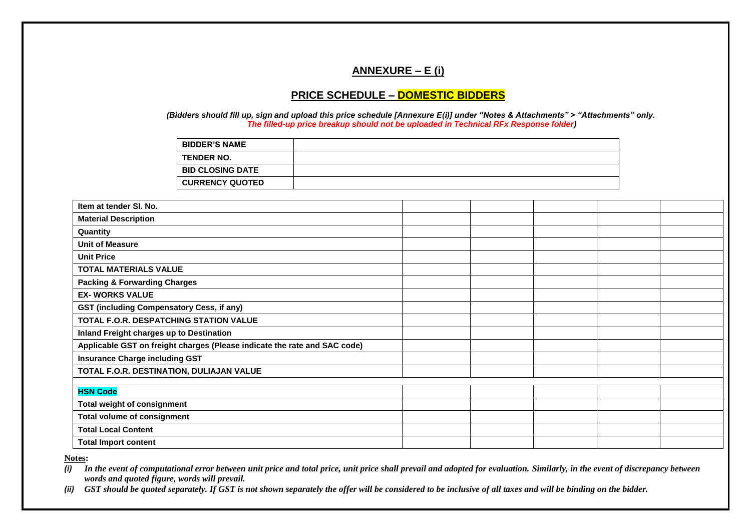# **ANNEXURE – E (i)**

#### **PRICE SCHEDULE – DOMESTIC BIDDERS**

*(Bidders should fill up, sign and upload this price schedule [Annexure E(i)] under "Notes & Attachments" > "Attachments" only. The filled-up price breakup should not be uploaded in Technical RFx Response folder)*

| <b>BIDDER'S NAME</b>    |  |
|-------------------------|--|
| <b>TENDER NO.</b>       |  |
| <b>BID CLOSING DATE</b> |  |
| <b>CURRENCY QUOTED</b>  |  |

| Item at tender SI. No.                                                    |  |  |  |
|---------------------------------------------------------------------------|--|--|--|
| <b>Material Description</b>                                               |  |  |  |
| Quantity                                                                  |  |  |  |
| <b>Unit of Measure</b>                                                    |  |  |  |
| <b>Unit Price</b>                                                         |  |  |  |
| <b>TOTAL MATERIALS VALUE</b>                                              |  |  |  |
| <b>Packing &amp; Forwarding Charges</b>                                   |  |  |  |
| <b>EX- WORKS VALUE</b>                                                    |  |  |  |
| GST (including Compensatory Cess, if any)                                 |  |  |  |
| TOTAL F.O.R. DESPATCHING STATION VALUE                                    |  |  |  |
| Inland Freight charges up to Destination                                  |  |  |  |
| Applicable GST on freight charges (Please indicate the rate and SAC code) |  |  |  |
| <b>Insurance Charge including GST</b>                                     |  |  |  |
| TOTAL F.O.R. DESTINATION, DULIAJAN VALUE                                  |  |  |  |
|                                                                           |  |  |  |
| <b>HSN Code</b>                                                           |  |  |  |
| <b>Total weight of consignment</b>                                        |  |  |  |
| <b>Total volume of consignment</b>                                        |  |  |  |
| <b>Total Local Content</b>                                                |  |  |  |
| <b>Total Import content</b>                                               |  |  |  |

**Notes:** 

*(i) In the event of computational error between unit price and total price, unit price shall prevail and adopted for evaluation. Similarly, in the event of discrepancy between words and quoted figure, words will prevail.*

*(ii) GST should be quoted separately. If GST is not shown separately the offer will be considered to be inclusive of all taxes and will be binding on the bidder.*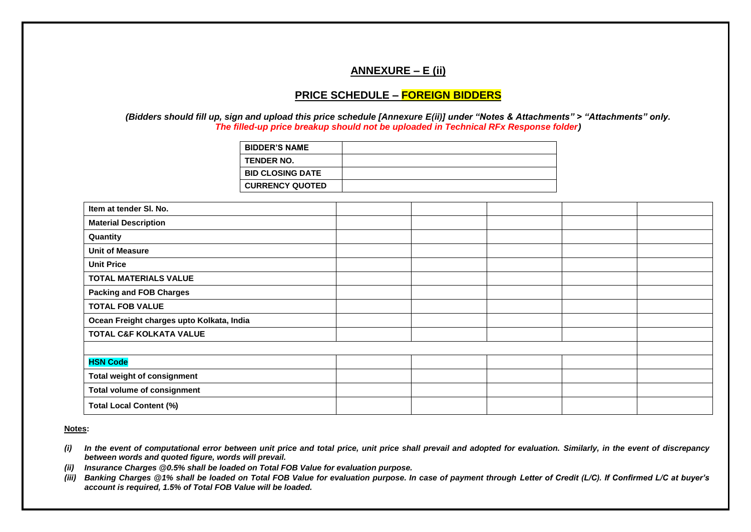### **ANNEXURE – E (ii)**

#### **PRICE SCHEDULE – FOREIGN BIDDERS**

*(Bidders should fill up, sign and upload this price schedule [Annexure E(ii)] under "Notes & Attachments" > "Attachments" only. The filled-up price breakup should not be uploaded in Technical RFx Response folder)*

| <b>BIDDER'S NAME</b>    |  |
|-------------------------|--|
| <b>TENDER NO.</b>       |  |
| <b>BID CLOSING DATE</b> |  |
| <b>CURRENCY QUOTED</b>  |  |
|                         |  |

| Item at tender SI. No.                    |  |  |  |
|-------------------------------------------|--|--|--|
| <b>Material Description</b>               |  |  |  |
| Quantity                                  |  |  |  |
| <b>Unit of Measure</b>                    |  |  |  |
| <b>Unit Price</b>                         |  |  |  |
| <b>TOTAL MATERIALS VALUE</b>              |  |  |  |
| <b>Packing and FOB Charges</b>            |  |  |  |
| <b>TOTAL FOB VALUE</b>                    |  |  |  |
| Ocean Freight charges upto Kolkata, India |  |  |  |
| TOTAL C&F KOLKATA VALUE                   |  |  |  |
|                                           |  |  |  |
| <b>HSN Code</b>                           |  |  |  |
| Total weight of consignment               |  |  |  |
| <b>Total volume of consignment</b>        |  |  |  |
| <b>Total Local Content (%)</b>            |  |  |  |

**Notes:** 

- *(i) In the event of computational error between unit price and total price, unit price shall prevail and adopted for evaluation. Similarly, in the event of discrepancy between words and quoted figure, words will prevail.*
- *(ii) Insurance Charges @0.5% shall be loaded on Total FOB Value for evaluation purpose.*
- *(iii) Banking Charges @1% shall be loaded on Total FOB Value for evaluation purpose. In case of payment through Letter of Credit (L/C). If Confirmed L/C at buyer's account is required, 1.5% of Total FOB Value will be loaded.*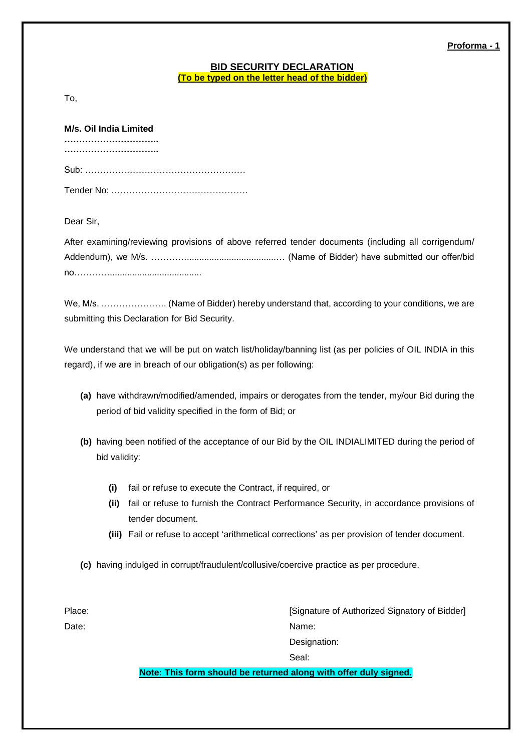**Proforma - 1**

#### **BID SECURITY DECLARATION (To be typed on the letter head of the bidder)**

To,

| M/s. Oil India Limited |  |  |  |  |  |  |  |  |
|------------------------|--|--|--|--|--|--|--|--|
|                        |  |  |  |  |  |  |  |  |
|                        |  |  |  |  |  |  |  |  |
|                        |  |  |  |  |  |  |  |  |

Dear Sir,

After examining/reviewing provisions of above referred tender documents (including all corrigendum/ Addendum), we M/s. …………....................................… (Name of Bidder) have submitted our offer/bid no………….....................................

We, M/s. …………………. (Name of Bidder) hereby understand that, according to your conditions, we are submitting this Declaration for Bid Security.

We understand that we will be put on watch list/holiday/banning list (as per policies of OIL INDIA in this regard), if we are in breach of our obligation(s) as per following:

- **(a)** have withdrawn/modified/amended, impairs or derogates from the tender, my/our Bid during the period of bid validity specified in the form of Bid; or
- **(b)** having been notified of the acceptance of our Bid by the OIL INDIALIMITED during the period of bid validity:
	- **(i)** fail or refuse to execute the Contract, if required, or
	- **(ii)** fail or refuse to furnish the Contract Performance Security, in accordance provisions of tender document.
	- **(iii)** Fail or refuse to accept 'arithmetical corrections' as per provision of tender document.
- **(c)** having indulged in corrupt/fraudulent/collusive/coercive practice as per procedure.

Place: **Place: Place: Place: Place: Place: Place: Place: Place: Place: Place: Place: Place: Place: Place: Place: Place: Place: Place: Place: Place: Place: Place: Place: Place:** Date: Name: Name: Name: Name: Name: Name: Name: Name: Name: Name: Name: Name: Name: Name: Name: Name: Name: Name: Name: Name: Name: Name: Name: Name: Name: Name: Name: Name: Name: Name: Name: Name: Name: Name: Name: Name: Designation: Seal:

**Note: This form should be returned along with offer duly signed.**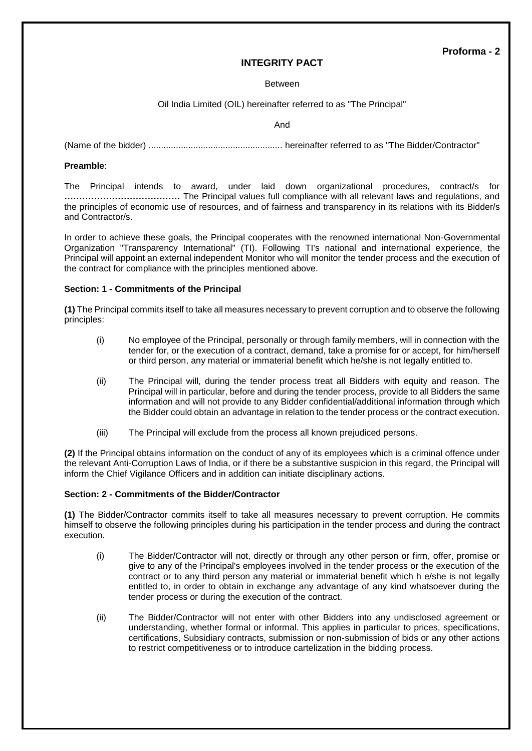#### **INTEGRITY PACT**

#### Between

#### Oil India Limited (OIL) hereinafter referred to as "The Principal"

And

(Name of the bidder) ...................................................... hereinafter referred to as "The Bidder/Contractor"

#### **Preamble**:

The Principal intends to award, under laid down organizational procedures, contract/s for **…………………………………** The Principal values full compliance with all relevant laws and regulations, and the principles of economic use of resources, and of fairness and transparency in its relations with its Bidder/s and Contractor/s.

In order to achieve these goals, the Principal cooperates with the renowned international Non-Governmental Organization "Transparency International" (TI). Following TI's national and international experience, the Principal will appoint an external independent Monitor who will monitor the tender process and the execution of the contract for compliance with the principles mentioned above.

#### **Section: 1 - Commitments of the Principal**

**(1)** The Principal commits itself to take all measures necessary to prevent corruption and to observe the following principles:

- (i) No employee of the Principal, personally or through family members, will in connection with the tender for, or the execution of a contract, demand, take a promise for or accept, for him/herself or third person, any material or immaterial benefit which he/she is not legally entitled to.
- (ii) The Principal will, during the tender process treat all Bidders with equity and reason. The Principal will in particular, before and during the tender process, provide to all Bidders the same information and will not provide to any Bidder confidential/additional information through which the Bidder could obtain an advantage in relation to the tender process or the contract execution.
- (iii) The Principal will exclude from the process all known prejudiced persons.

**(2)** If the Principal obtains information on the conduct of any of its employees which is a criminal offence under the relevant Anti-Corruption Laws of India, or if there be a substantive suspicion in this regard, the Principal will inform the Chief Vigilance Officers and in addition can initiate disciplinary actions.

#### **Section: 2 - Commitments of the Bidder/Contractor**

**(1)** The Bidder/Contractor commits itself to take all measures necessary to prevent corruption. He commits himself to observe the following principles during his participation in the tender process and during the contract execution.

- (i) The Bidder/Contractor will not, directly or through any other person or firm, offer, promise or give to any of the Principal's employees involved in the tender process or the execution of the contract or to any third person any material or immaterial benefit which h e/she is not legally entitled to, in order to obtain in exchange any advantage of any kind whatsoever during the tender process or during the execution of the contract.
- (ii) The Bidder/Contractor will not enter with other Bidders into any undisclosed agreement or understanding, whether formal or informal. This applies in particular to prices, specifications, certifications, Subsidiary contracts, submission or non-submission of bids or any other actions to restrict competitiveness or to introduce cartelization in the bidding process.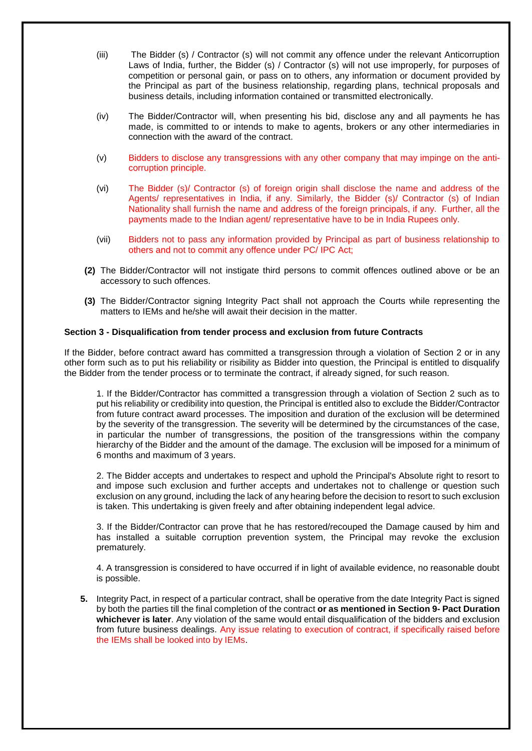- (iii) The Bidder (s) / Contractor (s) will not commit any offence under the relevant Anticorruption Laws of India, further, the Bidder (s) / Contractor (s) will not use improperly, for purposes of competition or personal gain, or pass on to others, any information or document provided by the Principal as part of the business relationship, regarding plans, technical proposals and business details, including information contained or transmitted electronically.
- (iv) The Bidder/Contractor will, when presenting his bid, disclose any and all payments he has made, is committed to or intends to make to agents, brokers or any other intermediaries in connection with the award of the contract.
- (v) Bidders to disclose any transgressions with any other company that may impinge on the anticorruption principle.
- (vi) The Bidder (s)/ Contractor (s) of foreign origin shall disclose the name and address of the Agents/ representatives in India, if any. Similarly, the Bidder (s)/ Contractor (s) of Indian Nationality shall furnish the name and address of the foreign principals, if any. Further, all the payments made to the Indian agent/ representative have to be in India Rupees only.
- (vii) Bidders not to pass any information provided by Principal as part of business relationship to others and not to commit any offence under PC/ IPC Act;
- **(2)** The Bidder/Contractor will not instigate third persons to commit offences outlined above or be an accessory to such offences.
- **(3)** The Bidder/Contractor signing Integrity Pact shall not approach the Courts while representing the matters to IEMs and he/she will await their decision in the matter.

#### **Section 3 - Disqualification from tender process and exclusion from future Contracts**

If the Bidder, before contract award has committed a transgression through a violation of Section 2 or in any other form such as to put his reliability or risibility as Bidder into question, the Principal is entitled to disqualify the Bidder from the tender process or to terminate the contract, if already signed, for such reason.

1. If the Bidder/Contractor has committed a transgression through a violation of Section 2 such as to put his reliability or credibility into question, the Principal is entitled also to exclude the Bidder/Contractor from future contract award processes. The imposition and duration of the exclusion will be determined by the severity of the transgression. The severity will be determined by the circumstances of the case, in particular the number of transgressions, the position of the transgressions within the company hierarchy of the Bidder and the amount of the damage. The exclusion will be imposed for a minimum of 6 months and maximum of 3 years.

2. The Bidder accepts and undertakes to respect and uphold the Principal's Absolute right to resort to and impose such exclusion and further accepts and undertakes not to challenge or question such exclusion on any ground, including the lack of any hearing before the decision to resort to such exclusion is taken. This undertaking is given freely and after obtaining independent legal advice.

3. If the Bidder/Contractor can prove that he has restored/recouped the Damage caused by him and has installed a suitable corruption prevention system, the Principal may revoke the exclusion prematurely.

4. A transgression is considered to have occurred if in light of available evidence, no reasonable doubt is possible.

**5.** Integrity Pact, in respect of a particular contract, shall be operative from the date Integrity Pact is signed by both the parties till the final completion of the contract **or as mentioned in Section 9- Pact Duration whichever is later**. Any violation of the same would entail disqualification of the bidders and exclusion from future business dealings. Any issue relating to execution of contract, if specifically raised before the IEMs shall be looked into by IEMs.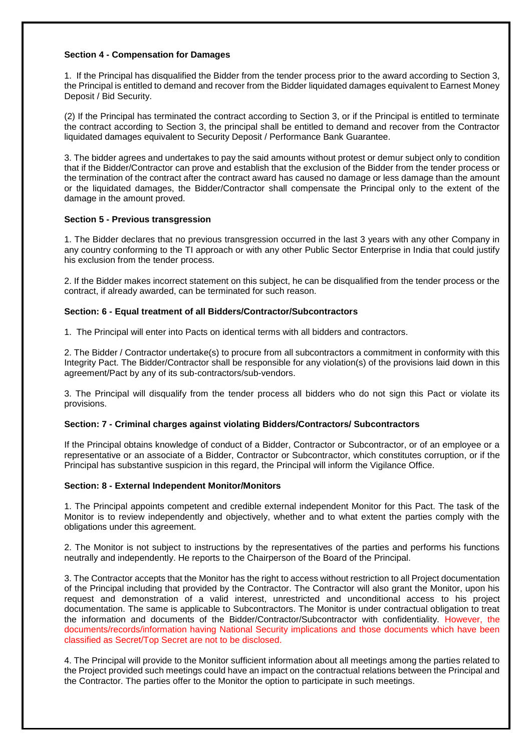#### **Section 4 - Compensation for Damages**

1. If the Principal has disqualified the Bidder from the tender process prior to the award according to Section 3, the Principal is entitled to demand and recover from the Bidder liquidated damages equivalent to Earnest Money Deposit / Bid Security.

(2) If the Principal has terminated the contract according to Section 3, or if the Principal is entitled to terminate the contract according to Section 3, the principal shall be entitled to demand and recover from the Contractor liquidated damages equivalent to Security Deposit / Performance Bank Guarantee.

3. The bidder agrees and undertakes to pay the said amounts without protest or demur subject only to condition that if the Bidder/Contractor can prove and establish that the exclusion of the Bidder from the tender process or the termination of the contract after the contract award has caused no damage or less damage than the amount or the liquidated damages, the Bidder/Contractor shall compensate the Principal only to the extent of the damage in the amount proved.

#### **Section 5 - Previous transgression**

1. The Bidder declares that no previous transgression occurred in the last 3 years with any other Company in any country conforming to the TI approach or with any other Public Sector Enterprise in India that could justify his exclusion from the tender process.

2. If the Bidder makes incorrect statement on this subject, he can be disqualified from the tender process or the contract, if already awarded, can be terminated for such reason.

#### **Section: 6 - Equal treatment of all Bidders/Contractor/Subcontractors**

1. The Principal will enter into Pacts on identical terms with all bidders and contractors.

2. The Bidder / Contractor undertake(s) to procure from all subcontractors a commitment in conformity with this Integrity Pact. The Bidder/Contractor shall be responsible for any violation(s) of the provisions laid down in this agreement/Pact by any of its sub-contractors/sub-vendors.

3. The Principal will disqualify from the tender process all bidders who do not sign this Pact or violate its provisions.

#### **Section: 7 - Criminal charges against violating Bidders/Contractors/ Subcontractors**

If the Principal obtains knowledge of conduct of a Bidder, Contractor or Subcontractor, or of an employee or a representative or an associate of a Bidder, Contractor or Subcontractor, which constitutes corruption, or if the Principal has substantive suspicion in this regard, the Principal will inform the Vigilance Office.

#### **Section: 8 - External Independent Monitor/Monitors**

1. The Principal appoints competent and credible external independent Monitor for this Pact. The task of the Monitor is to review independently and objectively, whether and to what extent the parties comply with the obligations under this agreement.

2. The Monitor is not subject to instructions by the representatives of the parties and performs his functions neutrally and independently. He reports to the Chairperson of the Board of the Principal.

3. The Contractor accepts that the Monitor has the right to access without restriction to all Project documentation of the Principal including that provided by the Contractor. The Contractor will also grant the Monitor, upon his request and demonstration of a valid interest, unrestricted and unconditional access to his project documentation. The same is applicable to Subcontractors. The Monitor is under contractual obligation to treat the information and documents of the Bidder/Contractor/Subcontractor with confidentiality. However, the documents/records/information having National Security implications and those documents which have been classified as Secret/Top Secret are not to be disclosed.

4. The Principal will provide to the Monitor sufficient information about all meetings among the parties related to the Project provided such meetings could have an impact on the contractual relations between the Principal and the Contractor. The parties offer to the Monitor the option to participate in such meetings.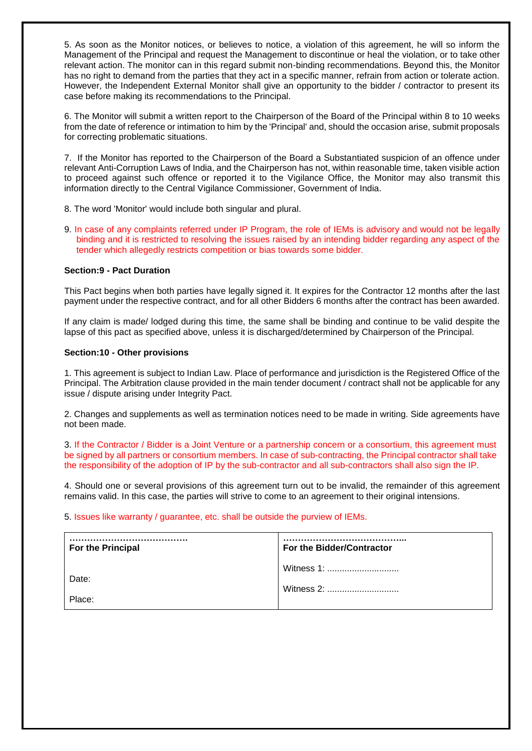5. As soon as the Monitor notices, or believes to notice, a violation of this agreement, he will so inform the Management of the Principal and request the Management to discontinue or heal the violation, or to take other relevant action. The monitor can in this regard submit non-binding recommendations. Beyond this, the Monitor has no right to demand from the parties that they act in a specific manner, refrain from action or tolerate action. However, the Independent External Monitor shall give an opportunity to the bidder / contractor to present its case before making its recommendations to the Principal.

6. The Monitor will submit a written report to the Chairperson of the Board of the Principal within 8 to 10 weeks from the date of reference or intimation to him by the 'Principal' and, should the occasion arise, submit proposals for correcting problematic situations.

7. If the Monitor has reported to the Chairperson of the Board a Substantiated suspicion of an offence under relevant Anti-Corruption Laws of India, and the Chairperson has not, within reasonable time, taken visible action to proceed against such offence or reported it to the Vigilance Office, the Monitor may also transmit this information directly to the Central Vigilance Commissioner, Government of India.

8. The word 'Monitor' would include both singular and plural.

9. In case of any complaints referred under IP Program, the role of IEMs is advisory and would not be legally binding and it is restricted to resolving the issues raised by an intending bidder regarding any aspect of the tender which allegedly restricts competition or bias towards some bidder.

#### **Section:9 - Pact Duration**

This Pact begins when both parties have legally signed it. It expires for the Contractor 12 months after the last payment under the respective contract, and for all other Bidders 6 months after the contract has been awarded.

If any claim is made/ lodged during this time, the same shall be binding and continue to be valid despite the lapse of this pact as specified above, unless it is discharged/determined by Chairperson of the Principal.

#### **Section:10 - Other provisions**

1. This agreement is subject to Indian Law. Place of performance and jurisdiction is the Registered Office of the Principal. The Arbitration clause provided in the main tender document / contract shall not be applicable for any issue / dispute arising under Integrity Pact.

2. Changes and supplements as well as termination notices need to be made in writing. Side agreements have not been made.

3. If the Contractor / Bidder is a Joint Venture or a partnership concern or a consortium, this agreement must be signed by all partners or consortium members. In case of sub-contracting, the Principal contractor shall take the responsibility of the adoption of IP by the sub-contractor and all sub-contractors shall also sign the IP.

4. Should one or several provisions of this agreement turn out to be invalid, the remainder of this agreement remains valid. In this case, the parties will strive to come to an agreement to their original intensions.

5. Issues like warranty / guarantee, etc. shall be outside the purview of IEMs.

| For the Principal | For the Bidder/Contractor |
|-------------------|---------------------------|
| Date:             | Witness 1:<br>Witness 2:  |
| Place:            |                           |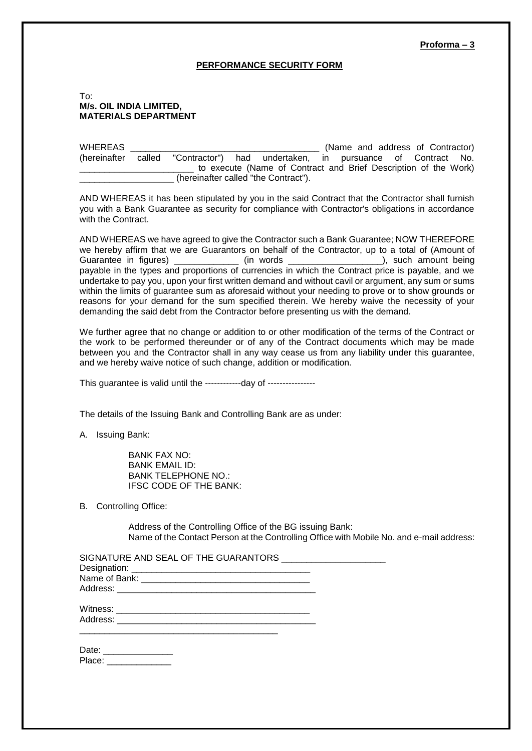#### **Proforma – 3**

#### **PERFORMANCE SECURITY FORM**

#### To: **M/s. OIL INDIA LIMITED, MATERIALS DEPARTMENT**

WHEREAS \_\_\_\_\_\_\_\_\_\_\_\_\_\_\_\_\_\_\_\_\_\_\_\_\_\_\_\_\_\_\_\_\_\_\_\_\_\_ (Name and address of Contractor) (hereinafter called "Contractor") had undertaken, in pursuance of Contract No. to execute (Name of Contract and Brief Description of the Work) \_\_\_\_\_\_\_\_\_\_\_\_\_\_\_\_\_\_\_ (hereinafter called "the Contract").

AND WHEREAS it has been stipulated by you in the said Contract that the Contractor shall furnish you with a Bank Guarantee as security for compliance with Contractor's obligations in accordance with the Contract.

AND WHEREAS we have agreed to give the Contractor such a Bank Guarantee; NOW THEREFORE we hereby affirm that we are Guarantors on behalf of the Contractor, up to a total of (Amount of Guarantee in figures) \_\_\_\_\_\_\_\_\_\_\_\_\_\_\_ (in words \_\_\_\_\_\_\_\_\_\_\_\_\_\_\_\_\_\_\_\_\_\_), such amount being payable in the types and proportions of currencies in which the Contract price is payable, and we undertake to pay you, upon your first written demand and without cavil or argument, any sum or sums within the limits of guarantee sum as aforesaid without your needing to prove or to show grounds or reasons for your demand for the sum specified therein. We hereby waive the necessity of your demanding the said debt from the Contractor before presenting us with the demand.

We further agree that no change or addition to or other modification of the terms of the Contract or the work to be performed thereunder or of any of the Contract documents which may be made between you and the Contractor shall in any way cease us from any liability under this guarantee, and we hereby waive notice of such change, addition or modification.

This guarantee is valid until the ------------day of ----------------

The details of the Issuing Bank and Controlling Bank are as under:

A. Issuing Bank:

BANK FAX NO: BANK EMAIL ID: BANK TELEPHONE NO.: IFSC CODE OF THE BANK:

B. Controlling Office:

Address of the Controlling Office of the BG issuing Bank: Name of the Contact Person at the Controlling Office with Mobile No. and e-mail address:

| SIGNATURE AND SEAL OF THE GUARANTORS _____________________ |  |
|------------------------------------------------------------|--|
|                                                            |  |
|                                                            |  |
|                                                            |  |
|                                                            |  |

Address: \_\_\_\_\_\_\_\_\_\_\_\_\_\_\_\_\_\_\_\_\_\_\_\_\_\_\_\_\_\_\_\_\_\_\_\_\_\_\_\_

| Date:  |  |
|--------|--|
| Place: |  |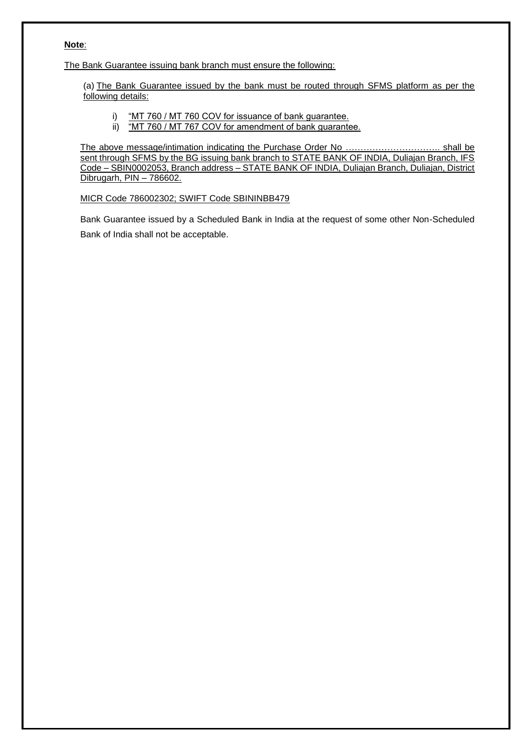#### **Note**:

The Bank Guarantee issuing bank branch must ensure the following:

(a) The Bank Guarantee issued by the bank must be routed through SFMS platform as per the following details:

- i) "MT 760 / MT 760 COV for issuance of bank guarantee.
- ii) "MT 760 / MT 767 COV for amendment of bank guarantee.

The above message/intimation indicating the Purchase Order No ………………………….. shall be sent through SFMS by the BG issuing bank branch to STATE BANK OF INDIA, Duliajan Branch, IFS Code – SBIN0002053, Branch address – STATE BANK OF INDIA, Duliajan Branch, Duliajan, District Dibrugarh, PIN – 786602.

#### MICR Code 786002302; SWIFT Code SBININBB479

Bank Guarantee issued by a Scheduled Bank in India at the request of some other Non-Scheduled Bank of India shall not be acceptable.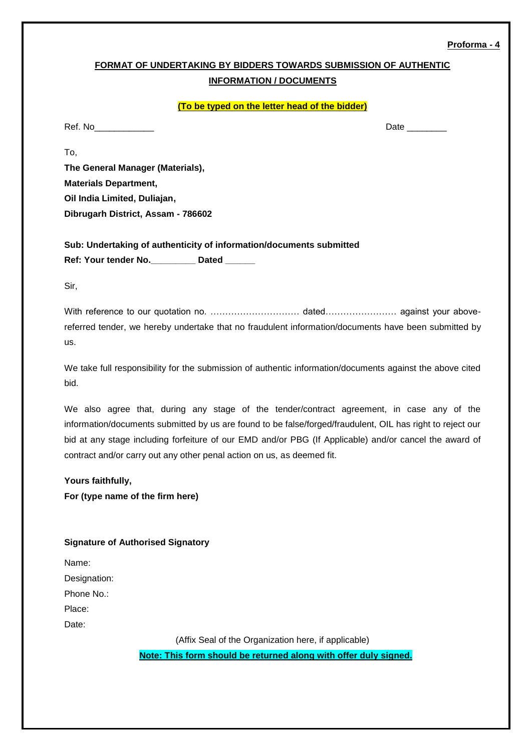#### **Proforma - 4**

# **FORMAT OF UNDERTAKING BY BIDDERS TOWARDS SUBMISSION OF AUTHENTIC INFORMATION / DOCUMENTS**

#### **(To be typed on the letter head of the bidder)**

Ref. No\_\_\_\_\_\_\_\_\_\_\_\_ Date \_\_\_\_\_\_\_\_

**The General Manager (Materials), Materials Department, Oil India Limited, Duliajan, Dibrugarh District, Assam - 786602**

**Sub: Undertaking of authenticity of information/documents submitted Ref: Your tender No.\_\_\_\_\_\_\_\_\_ Dated \_\_\_\_\_\_**

Sir,

To,

With reference to our quotation no. ………………………………… dated…………………… against your abovereferred tender, we hereby undertake that no fraudulent information/documents have been submitted by us.

We take full responsibility for the submission of authentic information/documents against the above cited bid.

We also agree that, during any stage of the tender/contract agreement, in case any of the information/documents submitted by us are found to be false/forged/fraudulent, OIL has right to reject our bid at any stage including forfeiture of our EMD and/or PBG (If Applicable) and/or cancel the award of contract and/or carry out any other penal action on us, as deemed fit.

#### **Yours faithfully,**

**For (type name of the firm here)**

#### **Signature of Authorised Signatory**

| Name:        |
|--------------|
| Designation: |
| Phone No∴    |
| Place:       |
| Date:        |

(Affix Seal of the Organization here, if applicable)

**Note: This form should be returned along with offer duly signed.**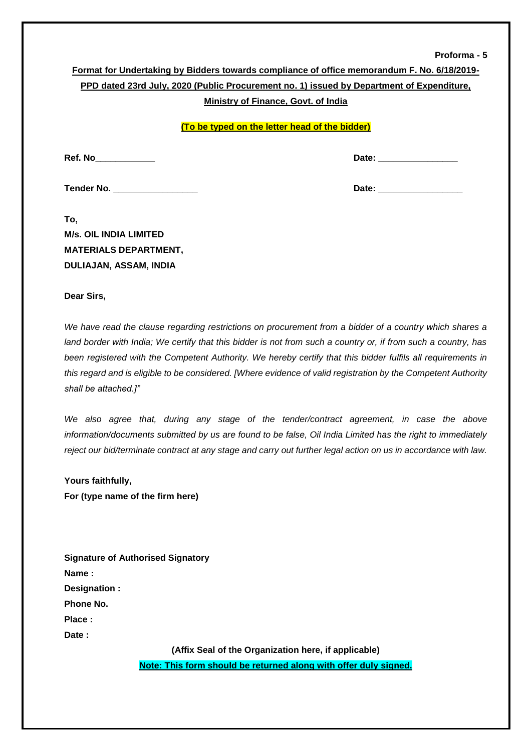#### **Proforma - 5**

|                                                                                           | Format for Undertaking by Bidders towards compliance of office memorandum F. No. 6/18/2019- |  |  |  |  |  |  |
|-------------------------------------------------------------------------------------------|---------------------------------------------------------------------------------------------|--|--|--|--|--|--|
| PPD dated 23rd July, 2020 (Public Procurement no. 1) issued by Department of Expenditure, |                                                                                             |  |  |  |  |  |  |
|                                                                                           | Ministry of Finance, Govt. of India                                                         |  |  |  |  |  |  |
|                                                                                           | (To be typed on the letter head of the bidder)                                              |  |  |  |  |  |  |
| Ref. No                                                                                   | Date: _______________                                                                       |  |  |  |  |  |  |
| Tender No. __________________                                                             |                                                                                             |  |  |  |  |  |  |
| To,                                                                                       |                                                                                             |  |  |  |  |  |  |
| <b>M/s. OIL INDIA LIMITED</b>                                                             |                                                                                             |  |  |  |  |  |  |
| <b>MATERIALS DEPARTMENT,</b>                                                              |                                                                                             |  |  |  |  |  |  |

**Dear Sirs,**

**DULIAJAN, ASSAM, INDIA** 

*We have read the clause regarding restrictions on procurement from a bidder of a country which shares a land border with India; We certify that this bidder is not from such a country or, if from such a country, has been registered with the Competent Authority. We hereby certify that this bidder fulfils all requirements in this regard and is eligible to be considered. [Where evidence of valid registration by the Competent Authority shall be attached.]"* 

*We also agree that, during any stage of the tender/contract agreement, in case the above information/documents submitted by us are found to be false, Oil India Limited has the right to immediately reject our bid/terminate contract at any stage and carry out further legal action on us in accordance with law.* 

**Yours faithfully, For (type name of the firm here)** 

| <b>Signature of Authorised Signatory</b> |                                                      |
|------------------------------------------|------------------------------------------------------|
| Name:                                    |                                                      |
| Designation :                            |                                                      |
| Phone No.                                |                                                      |
| Place:                                   |                                                      |
| Date :                                   |                                                      |
|                                          | (Affix Seal of the Organization here, if applicable) |

**Note: This form should be returned along with offer duly signed.**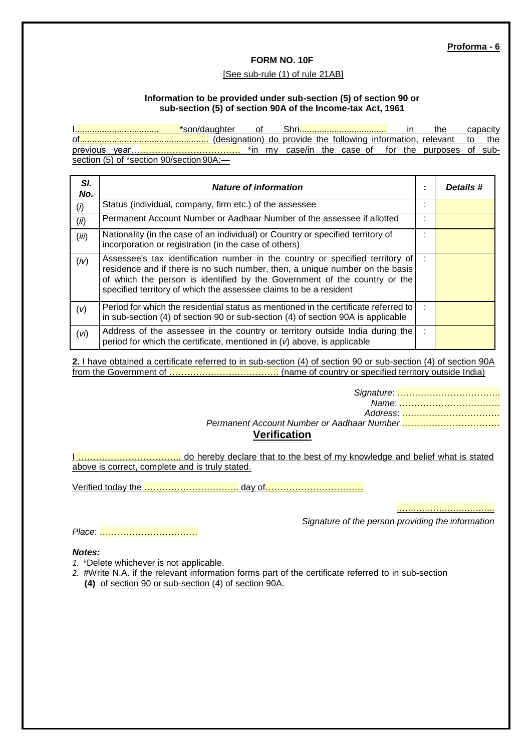#### **FORM NO. 10F**

#### [See sub-rule (1) of rule 21AB]

#### **Information to be provided under sub-section (5) of section 90 or sub-section (5) of section 90A of the Income-tax Act, 1961**

<u>\*son/daughter of Shri.................................</u> in the capacity .......<sup>.</sup> (designation) do provide the following information, relevant to the previous year………………………………. \*in my case/in the case of for the purposes of subsection (5) of \*section 90/section 90A:-

| SI.<br>No.        | <b>Nature of information</b>                                                                                                                                                                                                                                                                                    | ٠ | Details # |
|-------------------|-----------------------------------------------------------------------------------------------------------------------------------------------------------------------------------------------------------------------------------------------------------------------------------------------------------------|---|-----------|
| $\left( i\right)$ | Status (individual, company, firm etc.) of the assessee                                                                                                                                                                                                                                                         | ٠ |           |
| (ii)              | Permanent Account Number or Aadhaar Number of the assessee if allotted                                                                                                                                                                                                                                          | ٠ |           |
| (iii)             | Nationality (in the case of an individual) or Country or specified territory of<br>incorporation or registration (in the case of others)                                                                                                                                                                        |   |           |
| (iv)              | Assessee's tax identification number in the country or specified territory of<br>residence and if there is no such number, then, a unique number on the basis<br>of which the person is identified by the Government of the country or the<br>specified territory of which the assessee claims to be a resident |   |           |
| (v)               | Period for which the residential status as mentioned in the certificate referred to be<br>in sub-section (4) of section 90 or sub-section (4) of section 90A is applicable                                                                                                                                      |   |           |
| (v <sub>i</sub> ) | Address of the assessee in the country or territory outside India during the<br>period for which the certificate, mentioned in $(v)$ above, is applicable                                                                                                                                                       | ÷ |           |

**2.** I have obtained a certificate referred to in sub-section (4) of section 90 or sub-section (4) of section 90A from the Government of ………………………………. (name of country or specified territory outside India)

> *Signature*: …………………………….. *Name*: ……………………………. *Address*: ……………………………

*Permanent Account Number or Aadhaar Number* …………………………… **Verification**

I …………………………….. do hereby declare that to the best of my knowledge and belief what is stated above is correct, complete and is truly stated.

Verified today the ………………………….. day of……………………………

………………………………………

*Signature of the person providing the information*

*Place*: ……………………………

*Notes:*

- *1.* \*Delete whichever is not applicable.
- *2.* #Write N.A. if the relevant information forms part of the certificate referred to in sub-section **(4)** of section 90 or sub-section (4) of section 90A.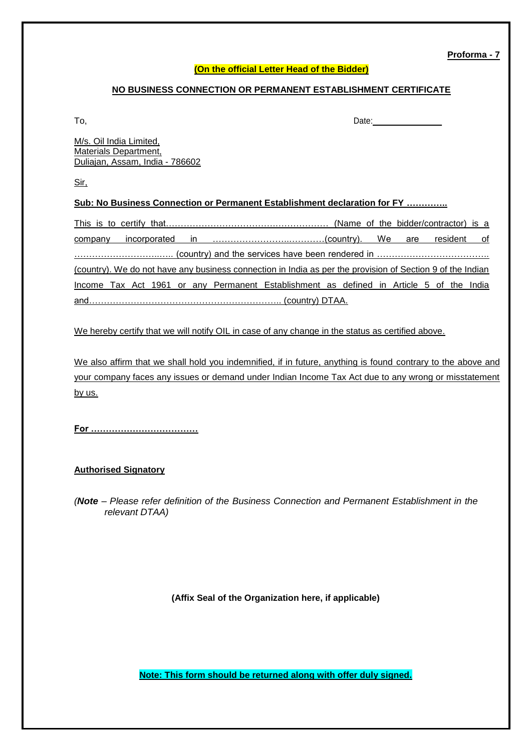**Proforma - 7**

#### **(On the official Letter Head of the Bidder)**

#### **NO BUSINESS CONNECTION OR PERMANENT ESTABLISHMENT CERTIFICATE**

To, Date: \_\_\_\_\_\_\_\_\_\_\_\_\_\_\_

M/s. Oil India Limited, Materials Department, Duliajan, Assam, India - 786602

Sir,

#### **Sub: No Business Connection or Permanent Establishment declaration for FY …………..**

|  |  |  | (country). We do not have any business connection in India as per the provision of Section 9 of the Indian |  |  |  |  |
|--|--|--|------------------------------------------------------------------------------------------------------------|--|--|--|--|
|  |  |  | Income Tax Act 1961 or any Permanent Establishment as defined in Article 5 of the India                    |  |  |  |  |
|  |  |  |                                                                                                            |  |  |  |  |

We hereby certify that we will notify OIL in case of any change in the status as certified above.

We also affirm that we shall hold you indemnified, if in future, anything is found contrary to the above and your company faces any issues or demand under Indian Income Tax Act due to any wrong or misstatement by us.

**For ………………………………**

#### **Authorised Signatory**

*(Note – Please refer definition of the Business Connection and Permanent Establishment in the relevant DTAA)*

**(Affix Seal of the Organization here, if applicable)**

**Note: This form should be returned along with offer duly signed.**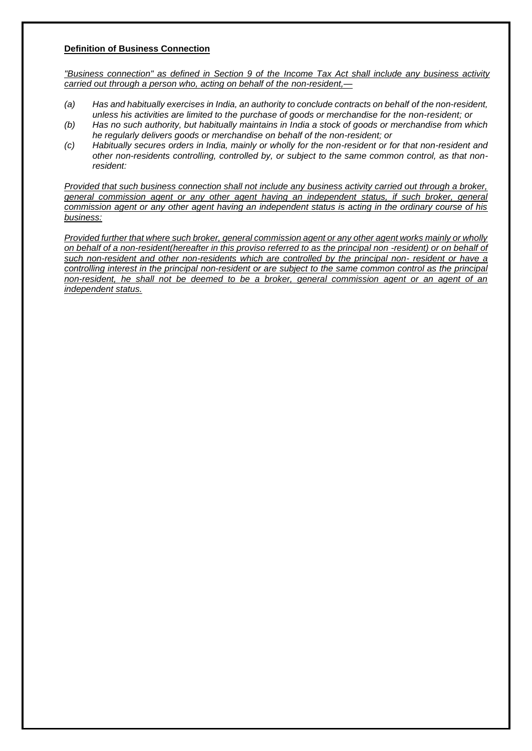#### **Definition of Business Connection**

*"Business connection" as defined in Section 9 of the Income Tax Act shall include any business activity carried out through a person who, acting on behalf of the non-resident,—*

- *(a) Has and habitually exercises in India, an authority to conclude contracts on behalf of the non-resident, unless his activities are limited to the purchase of goods or merchandise for the non-resident; or*
- *(b) Has no such authority, but habitually maintains in India a stock of goods or merchandise from which he regularly delivers goods or merchandise on behalf of the non-resident; or*
- *(c) Habitually secures orders in India, mainly or wholly for the non-resident or for that non-resident and other non-residents controlling, controlled by, or subject to the same common control, as that nonresident:*

*Provided that such business connection shall not include any business activity carried out through a broker, general commission agent or any other agent having an independent status, if such broker, general commission agent or any other agent having an independent status is acting in the ordinary course of his business:*

*Provided further that where such broker, general commission agent or any other agent works mainly or wholly on behalf of a non-resident(hereafter in this proviso referred to as the principal non -resident) or on behalf of such non-resident and other non-residents which are controlled by the principal non- resident or have a controlling interest in the principal non-resident or are subject to the same common control as the principal non-resident, he shall not be deemed to be a broker, general commission agent or an agent of an independent status.*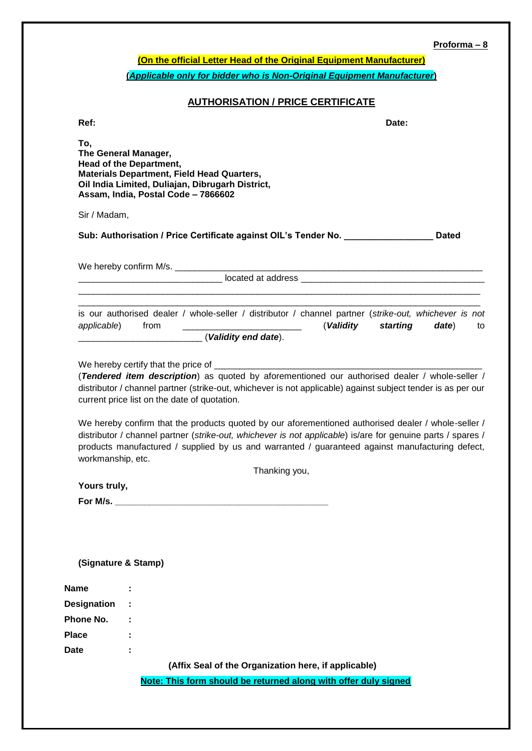# **Proforma – 8**

|                    |                                                                                                                                                                                                                                                                                                                                                                                                                                                                                                                                                                                                          | $Proforma - 8$ |
|--------------------|----------------------------------------------------------------------------------------------------------------------------------------------------------------------------------------------------------------------------------------------------------------------------------------------------------------------------------------------------------------------------------------------------------------------------------------------------------------------------------------------------------------------------------------------------------------------------------------------------------|----------------|
|                    | (On the official Letter Head of the Original Equipment Manufacturer)                                                                                                                                                                                                                                                                                                                                                                                                                                                                                                                                     |                |
|                    | (Applicable only for bidder who is Non-Original Equipment Manufacturer)                                                                                                                                                                                                                                                                                                                                                                                                                                                                                                                                  |                |
|                    | <b>AUTHORISATION / PRICE CERTIFICATE</b>                                                                                                                                                                                                                                                                                                                                                                                                                                                                                                                                                                 |                |
| Ref:               | Date:                                                                                                                                                                                                                                                                                                                                                                                                                                                                                                                                                                                                    |                |
| To,                | The General Manager,<br>Head of the Department,<br><b>Materials Department, Field Head Quarters,</b><br>Oil India Limited, Duliajan, Dibrugarh District,<br>Assam, India, Postal Code - 7866602                                                                                                                                                                                                                                                                                                                                                                                                          |                |
| Sir / Madam,       |                                                                                                                                                                                                                                                                                                                                                                                                                                                                                                                                                                                                          |                |
|                    | Sub: Authorisation / Price Certificate against OIL's Tender No. ________________                                                                                                                                                                                                                                                                                                                                                                                                                                                                                                                         | <b>Dated</b>   |
|                    |                                                                                                                                                                                                                                                                                                                                                                                                                                                                                                                                                                                                          |                |
|                    |                                                                                                                                                                                                                                                                                                                                                                                                                                                                                                                                                                                                          |                |
|                    |                                                                                                                                                                                                                                                                                                                                                                                                                                                                                                                                                                                                          |                |
|                    | is our authorised dealer / whole-seller / distributor / channel partner (strike-out, whichever is not<br><u> 1980 - Jan Barbara, martxa al II-lea (h. 1980).</u><br>(Validity starting date) to<br>applicable) from                                                                                                                                                                                                                                                                                                                                                                                      |                |
|                    | (Validity end date).                                                                                                                                                                                                                                                                                                                                                                                                                                                                                                                                                                                     |                |
| workmanship, etc.  | (Tendered item description) as quoted by aforementioned our authorised dealer / whole-seller /<br>distributor / channel partner (strike-out, whichever is not applicable) against subject tender is as per our<br>current price list on the date of quotation.<br>We hereby confirm that the products quoted by our aforementioned authorised dealer / whole-seller /<br>distributor / channel partner (strike-out, whichever is not applicable) is/are for genuine parts / spares /<br>products manufactured / supplied by us and warranted / guaranteed against manufacturing defect,<br>Thanking you, |                |
| Yours truly,       |                                                                                                                                                                                                                                                                                                                                                                                                                                                                                                                                                                                                          |                |
|                    |                                                                                                                                                                                                                                                                                                                                                                                                                                                                                                                                                                                                          |                |
|                    | (Signature & Stamp)                                                                                                                                                                                                                                                                                                                                                                                                                                                                                                                                                                                      |                |
| <b>Name</b>        |                                                                                                                                                                                                                                                                                                                                                                                                                                                                                                                                                                                                          |                |
| <b>Designation</b> |                                                                                                                                                                                                                                                                                                                                                                                                                                                                                                                                                                                                          |                |
| Phone No.          |                                                                                                                                                                                                                                                                                                                                                                                                                                                                                                                                                                                                          |                |
| <b>Place</b>       |                                                                                                                                                                                                                                                                                                                                                                                                                                                                                                                                                                                                          |                |
| <b>Date</b>        |                                                                                                                                                                                                                                                                                                                                                                                                                                                                                                                                                                                                          |                |
|                    | (Affix Seal of the Organization here, if applicable)                                                                                                                                                                                                                                                                                                                                                                                                                                                                                                                                                     |                |
|                    | Note: This form should be returned along with offer duly signed                                                                                                                                                                                                                                                                                                                                                                                                                                                                                                                                          |                |